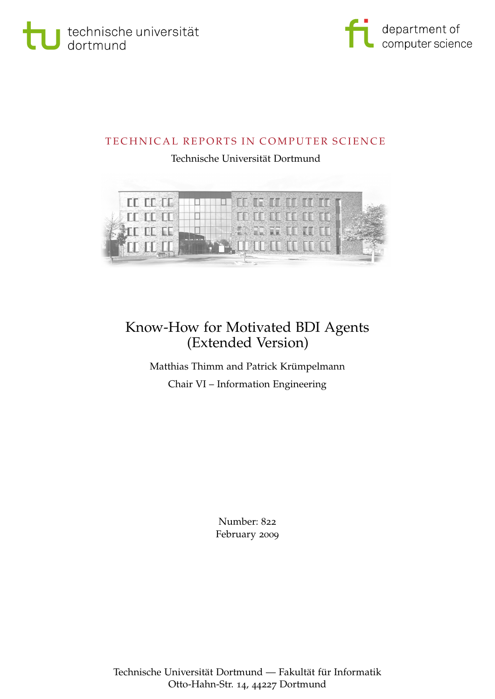



### TECHNICAL REPORTS IN COMPUTER SCIENCE

### Technische Universität Dortmund



## Know-How for Motivated BDI Agents (Extended Version)

Matthias Thimm and Patrick Krümpelmann Chair VI – Information Engineering

> Number: 822 February 2009

Technische Universität Dortmund — Fakultät für Informatik Otto-Hahn-Str. 14, 44227 Dortmund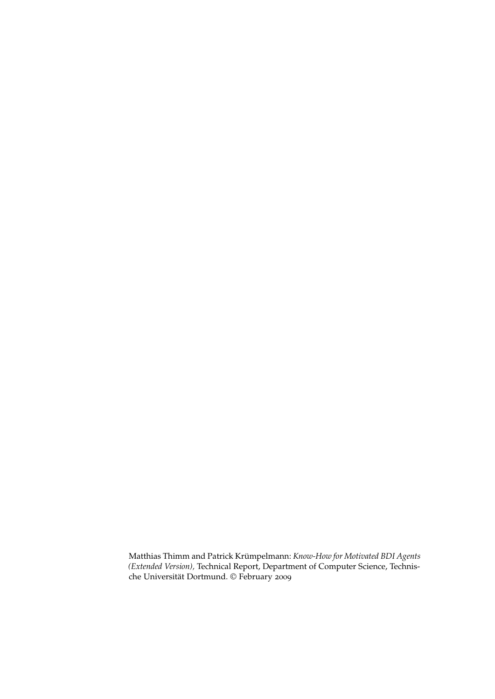Matthias Thimm and Patrick Krümpelmann: *Know-How for Motivated BDI Agents (Extended Version),* Technical Report, Department of Computer Science, Technische Universität Dortmund. © February 2009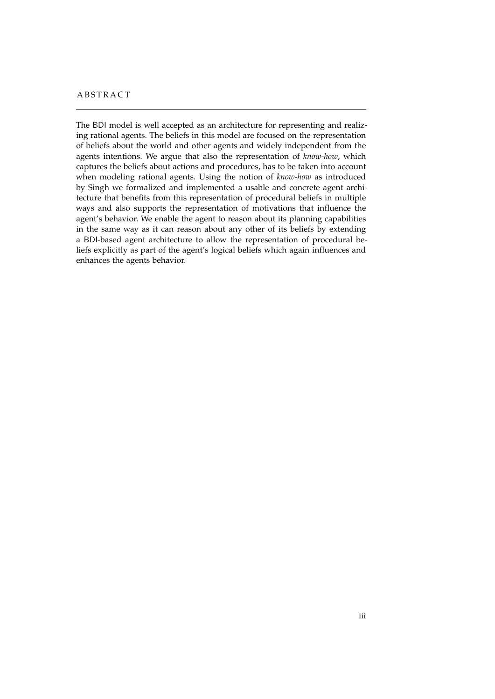#### **ABSTRACT**

The BDI model is well accepted as an architecture for representing and realizing rational agents. The beliefs in this model are focused on the representation of beliefs about the world and other agents and widely independent from the agents intentions. We argue that also the representation of *know-how*, which captures the beliefs about actions and procedures, has to be taken into account when modeling rational agents. Using the notion of *know-how* as introduced by Singh we formalized and implemented a usable and concrete agent architecture that benefits from this representation of procedural beliefs in multiple ways and also supports the representation of motivations that influence the agent's behavior. We enable the agent to reason about its planning capabilities in the same way as it can reason about any other of its beliefs by extending a BDI-based agent architecture to allow the representation of procedural beliefs explicitly as part of the agent's logical beliefs which again influences and enhances the agents behavior.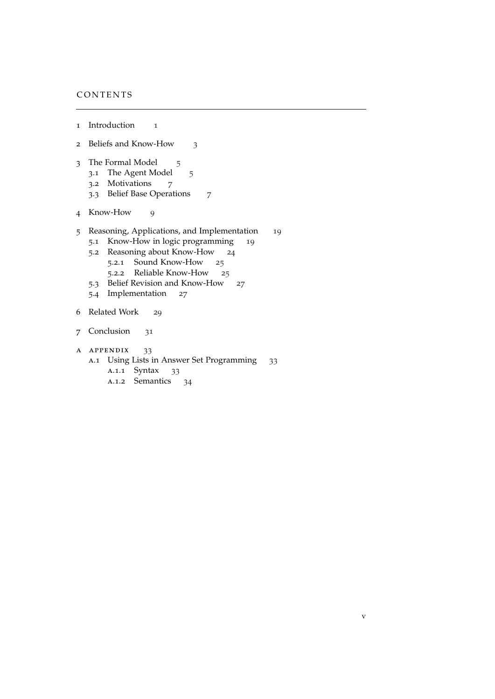### CONTENTS

- Introduction [1](#page-6-0)
- Beliefs and Know-How [3](#page-8-0)
- 3 The Formal Model [5](#page-10-0)
	- 3.1 The Agent Model [5](#page-10-1)
	- .2 Motivations [7](#page-12-0)
	- .3 Belief Base Operations [7](#page-12-1)
- Know-How [9](#page-14-0)
- Reasoning, Applications, and Implementation [19](#page-24-0)
	- .1 Know-How in logic programming [19](#page-24-1)
	- .2 Reasoning about Know-How [24](#page-29-0)
		- .2.1 Sound Know-How [25](#page-29-1)
		- .2.2 Reliable Know-How [25](#page-30-0)
	- .3 Belief Revision and Know-How [27](#page-32-0)
	- .4 Implementation [27](#page-32-1)
- Related Work [29](#page-34-0)
- Conclusion [31](#page-36-0)
- a appendix [33](#page-38-0)
	- A.1 Using Lists in Answer Set Programming [33](#page-38-1) a.1.1 Syntax [33](#page-38-2) a.1.2 Semantics [34](#page-39-0)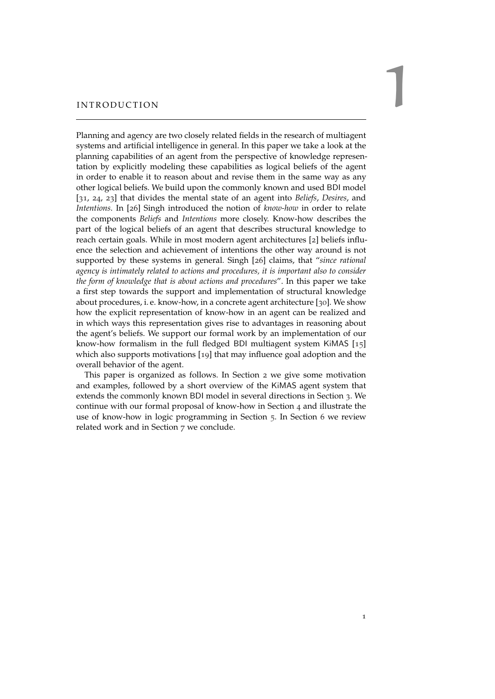# <span id="page-6-1"></span><span id="page-6-0"></span>INTRODUCTION

Planning and agency are two closely related fields in the research of multiagent systems and artificial intelligence in general. In this paper we take a look at the planning capabilities of an agent from the perspective of knowledge representation by explicitly modeling these capabilities as logical beliefs of the agent in order to enable it to reason about and revise them in the same way as any other logical beliefs. We build upon the commonly known and used BDI model [[31](#page-44-0), [24](#page-44-1), [23](#page-44-2)] that divides the mental state of an agent into *Beliefs*, *Desires*, and *Intentions*. In [[26](#page-44-3)] Singh introduced the notion of *know-how* in order to relate the components *Beliefs* and *Intentions* more closely. Know-how describes the part of the logical beliefs of an agent that describes structural knowledge to reach certain goals. While in most modern agent architectures [[2](#page-42-0)] beliefs influence the selection and achievement of intentions the other way around is not supported by these systems in general. Singh [[26](#page-44-3)] claims, that "*since rational agency is intimately related to actions and procedures, it is important also to consider the form of knowledge that is about actions and procedures*". In this paper we take a first step towards the support and implementation of structural knowledge about procedures, i. e. know-how, in a concrete agent architecture [[30](#page-44-4)]. We show how the explicit representation of know-how in an agent can be realized and in which ways this representation gives rise to advantages in reasoning about the agent's beliefs. We support our formal work by an implementation of our know-how formalism in the full fledged BDI multiagent system KiMAS [[15](#page-43-0)] which also supports motivations [[19](#page-43-1)] that may influence goal adoption and the overall behavior of the agent.

This paper is organized as follows. In Section [2](#page-8-0) we give some motivation and examples, followed by a short overview of the KiMAS agent system that extends the commonly known BDI model in several directions in Section [3](#page-10-0). We continue with our formal proposal of know-how in Section [4](#page-14-0) and illustrate the use of know-how in logic programming in Section [5](#page-24-0). In Section [6](#page-34-0) we review related work and in Section [7](#page-36-0) we conclude.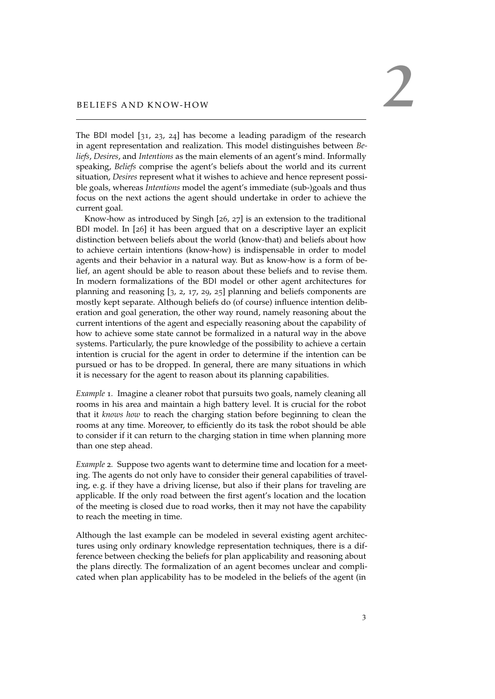# <span id="page-8-3"></span><span id="page-8-0"></span>BELIEFS AND KNOW-HOW

The BDI model [[31](#page-44-0), [23](#page-44-2), [24](#page-44-1)] has become a leading paradigm of the research in agent representation and realization. This model distinguishes between *Beliefs*, *Desires*, and *Intentions* as the main elements of an agent's mind. Informally speaking, *Beliefs* comprise the agent's beliefs about the world and its current situation, *Desires* represent what it wishes to achieve and hence represent possible goals, whereas *Intentions* model the agent's immediate (sub-)goals and thus focus on the next actions the agent should undertake in order to achieve the current goal.

Know-how as introduced by Singh [[26](#page-44-3), [27](#page-44-5)] is an extension to the traditional BDI model. In [[26](#page-44-3)] it has been argued that on a descriptive layer an explicit distinction between beliefs about the world (know-that) and beliefs about how to achieve certain intentions (know-how) is indispensable in order to model agents and their behavior in a natural way. But as know-how is a form of belief, an agent should be able to reason about these beliefs and to revise them. In modern formalizations of the BDI model or other agent architectures for planning and reasoning [[3](#page-42-1), [2](#page-42-0), [17](#page-43-2), [29](#page-44-6), [25](#page-44-7)] planning and beliefs components are mostly kept separate. Although beliefs do (of course) influence intention deliberation and goal generation, the other way round, namely reasoning about the current intentions of the agent and especially reasoning about the capability of how to achieve some state cannot be formalized in a natural way in the above systems. Particularly, the pure knowledge of the possibility to achieve a certain intention is crucial for the agent in order to determine if the intention can be pursued or has to be dropped. In general, there are many situations in which it is necessary for the agent to reason about its planning capabilities.

<span id="page-8-2"></span>*Example* 1*.* Imagine a cleaner robot that pursuits two goals, namely cleaning all rooms in his area and maintain a high battery level. It is crucial for the robot that it *knows how* to reach the charging station before beginning to clean the rooms at any time. Moreover, to efficiently do its task the robot should be able to consider if it can return to the charging station in time when planning more than one step ahead.

<span id="page-8-1"></span>*Example* 2*.* Suppose two agents want to determine time and location for a meeting. The agents do not only have to consider their general capabilities of traveling, e. g. if they have a driving license, but also if their plans for traveling are applicable. If the only road between the first agent's location and the location of the meeting is closed due to road works, then it may not have the capability to reach the meeting in time.

Although the last example can be modeled in several existing agent architectures using only ordinary knowledge representation techniques, there is a difference between checking the beliefs for plan applicability and reasoning about the plans directly. The formalization of an agent becomes unclear and complicated when plan applicability has to be modeled in the beliefs of the agent (in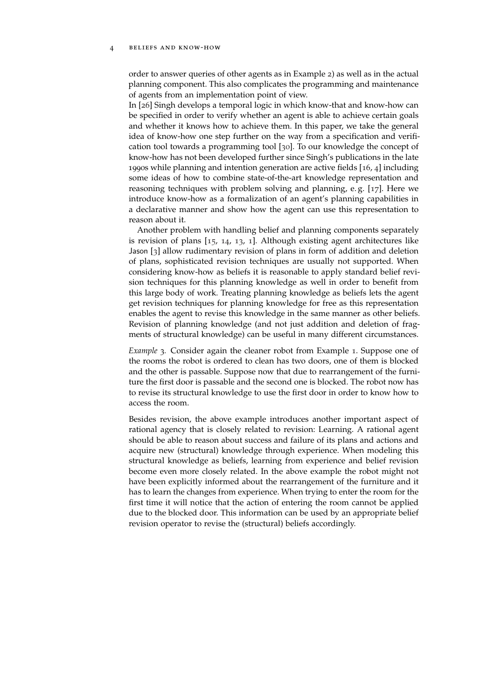#### <span id="page-9-0"></span>4 beliefs and know-how

order to answer queries of other agents as in Example [2](#page-8-1)) as well as in the actual planning component. This also complicates the programming and maintenance of agents from an implementation point of view.

In [[26](#page-44-3)] Singh develops a temporal logic in which know-that and know-how can be specified in order to verify whether an agent is able to achieve certain goals and whether it knows how to achieve them. In this paper, we take the general idea of know-how one step further on the way from a specification and verification tool towards a programming tool [[30](#page-44-4)]. To our knowledge the concept of know-how has not been developed further since Singh's publications in the late 1990s while planning and intention generation are active fields [[16](#page-43-3), [4](#page-42-2)] including some ideas of how to combine state-of-the-art knowledge representation and reasoning techniques with problem solving and planning, e. g. [[17](#page-43-2)]. Here we introduce know-how as a formalization of an agent's planning capabilities in a declarative manner and show how the agent can use this representation to reason about it.

Another problem with handling belief and planning components separately is revision of plans [[15](#page-43-0), [14](#page-43-4), [13](#page-43-5), [1](#page-42-3)]. Although existing agent architectures like Jason [[3](#page-42-1)] allow rudimentary revision of plans in form of addition and deletion of plans, sophisticated revision techniques are usually not supported. When considering know-how as beliefs it is reasonable to apply standard belief revision techniques for this planning knowledge as well in order to benefit from this large body of work. Treating planning knowledge as beliefs lets the agent get revision techniques for planning knowledge for free as this representation enables the agent to revise this knowledge in the same manner as other beliefs. Revision of planning knowledge (and not just addition and deletion of fragments of structural knowledge) can be useful in many different circumstances.

*Example* 3*.* Consider again the cleaner robot from Example [1](#page-8-2). Suppose one of the rooms the robot is ordered to clean has two doors, one of them is blocked and the other is passable. Suppose now that due to rearrangement of the furniture the first door is passable and the second one is blocked. The robot now has to revise its structural knowledge to use the first door in order to know how to access the room.

Besides revision, the above example introduces another important aspect of rational agency that is closely related to revision: Learning. A rational agent should be able to reason about success and failure of its plans and actions and acquire new (structural) knowledge through experience. When modeling this structural knowledge as beliefs, learning from experience and belief revision become even more closely related. In the above example the robot might not have been explicitly informed about the rearrangement of the furniture and it has to learn the changes from experience. When trying to enter the room for the first time it will notice that the action of entering the room cannot be applied due to the blocked door. This information can be used by an appropriate belief revision operator to revise the (structural) beliefs accordingly.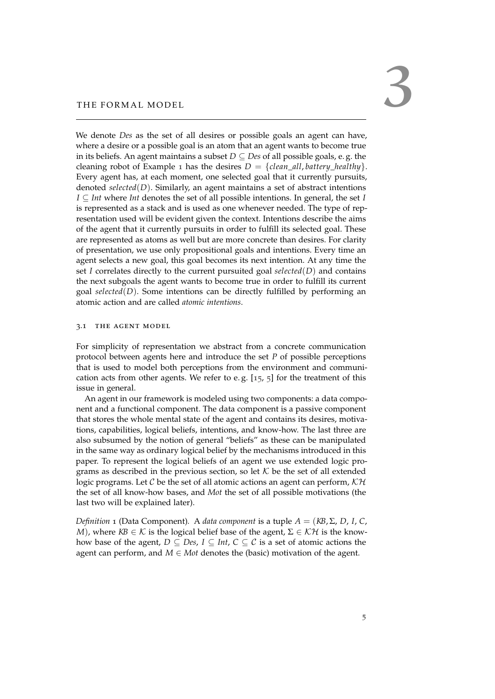<span id="page-10-2"></span><span id="page-10-0"></span>We denote *Des* as the set of all desires or possible goals an agent can have, where a desire or a possible goal is an atom that an agent wants to become true in its beliefs. An agent maintains a subset *D* ⊆ *Des* of all possible goals, e. g. the cleaning robot of Example [1](#page-8-2) has the desires  $D = \{clean\_all, battery\_healthy\}.$ Every agent has, at each moment, one selected goal that it currently pursuits, denoted *selected*(*D*). Similarly, an agent maintains a set of abstract intentions *I* ⊆ *Int* where *Int* denotes the set of all possible intentions. In general, the set *I* is represented as a stack and is used as one whenever needed. The type of representation used will be evident given the context. Intentions describe the aims of the agent that it currently pursuits in order to fulfill its selected goal. These are represented as atoms as well but are more concrete than desires. For clarity of presentation, we use only propositional goals and intentions. Every time an agent selects a new goal, this goal becomes its next intention. At any time the set *I* correlates directly to the current pursuited goal *selected*(*D*) and contains the next subgoals the agent wants to become true in order to fulfill its current goal *selected*(*D*). Some intentions can be directly fulfilled by performing an atomic action and are called *atomic intentions*.

#### <span id="page-10-1"></span>3.1 the agent model

For simplicity of representation we abstract from a concrete communication protocol between agents here and introduce the set *P* of possible perceptions that is used to model both perceptions from the environment and communication acts from other agents. We refer to e.g.  $[15, 5]$  $[15, 5]$  $[15, 5]$  $[15, 5]$  $[15, 5]$  for the treatment of this issue in general.

An agent in our framework is modeled using two components: a data component and a functional component. The data component is a passive component that stores the whole mental state of the agent and contains its desires, motivations, capabilities, logical beliefs, intentions, and know-how. The last three are also subsumed by the notion of general "beliefs" as these can be manipulated in the same way as ordinary logical belief by the mechanisms introduced in this paper. To represent the logical beliefs of an agent we use extended logic programs as described in the previous section, so let  $K$  be the set of all extended logic programs. Let C be the set of all atomic actions an agent can perform,  $K\mathcal{H}$ the set of all know-how bases, and *Mot* the set of all possible motivations (the last two will be explained later).

*Definition* 1 (Data Component). A *data component* is a tuple  $A = (KB, \Sigma, D, I, C,$ *M*), where  $KB \in \mathcal{K}$  is the logical belief base of the agent,  $\Sigma \in \mathcal{KH}$  is the knowhow base of the agent,  $D \subseteq Des$ ,  $I \subseteq Int$ ,  $C \subseteq C$  is a set of atomic actions the agent can perform, and  $M \in M$ ot denotes the (basic) motivation of the agent.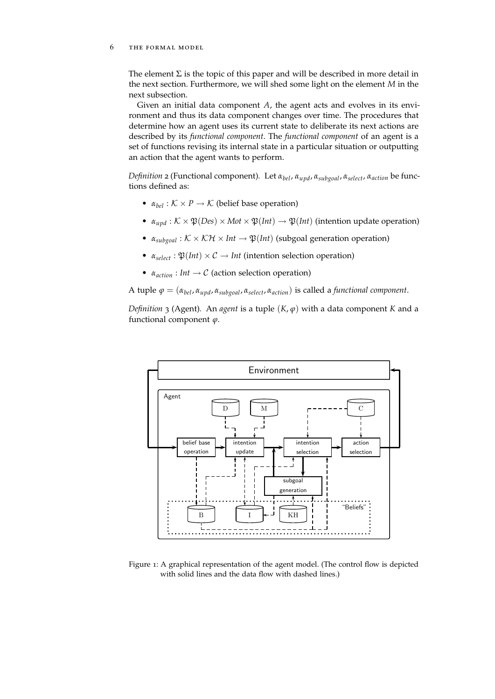#### 6 the formal model

The element  $\Sigma$  is the topic of this paper and will be described in more detail in the next section. Furthermore, we will shed some light on the element *M* in the next subsection.

Given an initial data component *A*, the agent acts and evolves in its environment and thus its data component changes over time. The procedures that determine how an agent uses its current state to deliberate its next actions are described by its *functional component*. The *functional component* of an agent is a set of functions revising its internal state in a particular situation or outputting an action that the agent wants to perform.

*Definition* 2 (Functional component)*.* Let *αbel*, *αupd*, *αsubgoal*, *αselect*, *αaction* be functions defined as:

- $\alpha_{bel}$  :  $K \times P \rightarrow K$  (belief base operation)
- $\alpha_{upd}: K \times \mathfrak{P}(Des) \times Mot \times \mathfrak{P}(Int) \rightarrow \mathfrak{P}(Int)$  (intention update operation)
- $\alpha_{subgoal} : K \times K\mathcal{H} \times Int \rightarrow \mathfrak{P}(Int)$  (subgoal generation operation)
- $\alpha_{select} : \mathfrak{P}(Int) \times \mathcal{C} \rightarrow Int$  (intention selection operation)
- $\alpha_{action}: Int \rightarrow C$  (action selection operation)

A tuple  $\varphi = (\alpha_{bel}, \alpha_{upd}, \alpha_{subgoal}, \alpha_{select}, \alpha_{action})$  is called a *functional component*.

*Definition* 3 (Agent)*.* An *agent* is a tuple (*K*, *ϕ*) with a data component *K* and a functional component *ϕ*.

<span id="page-11-0"></span>

Figure 1: A graphical representation of the agent model. (The control flow is depicted with solid lines and the data flow with dashed lines.)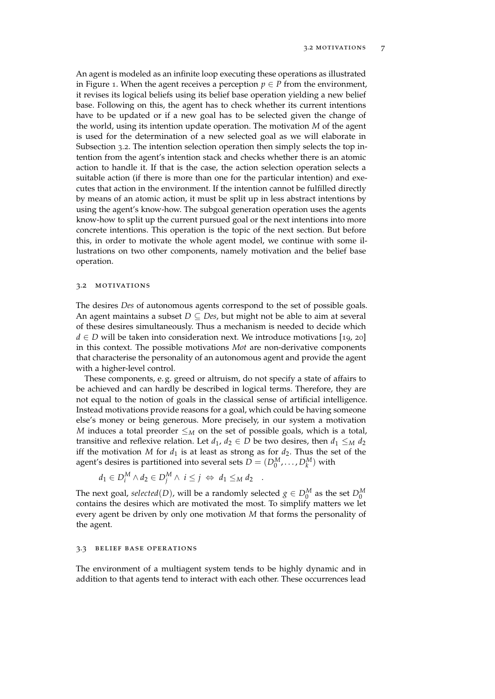<span id="page-12-2"></span>An agent is modeled as an infinite loop executing these operations as illustrated in Figure [1](#page-11-0). When the agent receives a perception  $p \in P$  from the environment, it revises its logical beliefs using its belief base operation yielding a new belief base. Following on this, the agent has to check whether its current intentions have to be updated or if a new goal has to be selected given the change of the world, using its intention update operation. The motivation *M* of the agent is used for the determination of a new selected goal as we will elaborate in Subsection [3](#page-12-0).2. The intention selection operation then simply selects the top intention from the agent's intention stack and checks whether there is an atomic action to handle it. If that is the case, the action selection operation selects a suitable action (if there is more than one for the particular intention) and executes that action in the environment. If the intention cannot be fulfilled directly by means of an atomic action, it must be split up in less abstract intentions by using the agent's know-how. The subgoal generation operation uses the agents know-how to split up the current pursued goal or the next intentions into more concrete intentions. This operation is the topic of the next section. But before this, in order to motivate the whole agent model, we continue with some illustrations on two other components, namely motivation and the belief base operation.

#### <span id="page-12-0"></span>3.2 MOTIVATIONS

The desires *Des* of autonomous agents correspond to the set of possible goals. An agent maintains a subset  $D \subseteq Des$ , but might not be able to aim at several of these desires simultaneously. Thus a mechanism is needed to decide which *d* ∈ *D* will be taken into consideration next. We introduce motivations [[19](#page-43-1), [20](#page-43-6)] in this context. The possible motivations *Mot* are non-derivative components that characterise the personality of an autonomous agent and provide the agent with a higher-level control.

These components, e. g. greed or altruism, do not specify a state of affairs to be achieved and can hardly be described in logical terms. Therefore, they are not equal to the notion of goals in the classical sense of artificial intelligence. Instead motivations provide reasons for a goal, which could be having someone else's money or being generous. More precisely, in our system a motivation *M* induces a total preorder  $\leq_M$  on the set of possible goals, which is a total, transitive and reflexive relation. Let  $d_1$ ,  $d_2 \in D$  be two desires, then  $d_1 \leq_M d_2$ iff the motivation *M* for  $d_1$  is at least as strong as for  $d_2$ . Thus the set of the agent's desires is partitioned into several sets  $D = (D_0^M, \dots, D_k^M)$  with

$$
d_1 \in D_i^M \wedge d_2 \in D_j^M \wedge i \leq j \iff d_1 \leq_M d_2 \quad .
$$

The next goal,  $selected(D)$ , will be a randomly selected  $g \in D_0^M$  as the set  $D_0^M$ contains the desires which are motivated the most. To simplify matters we let every agent be driven by only one motivation *M* that forms the personality of the agent.

#### <span id="page-12-1"></span>3.3 belief base operations

The environment of a multiagent system tends to be highly dynamic and in addition to that agents tend to interact with each other. These occurrences lead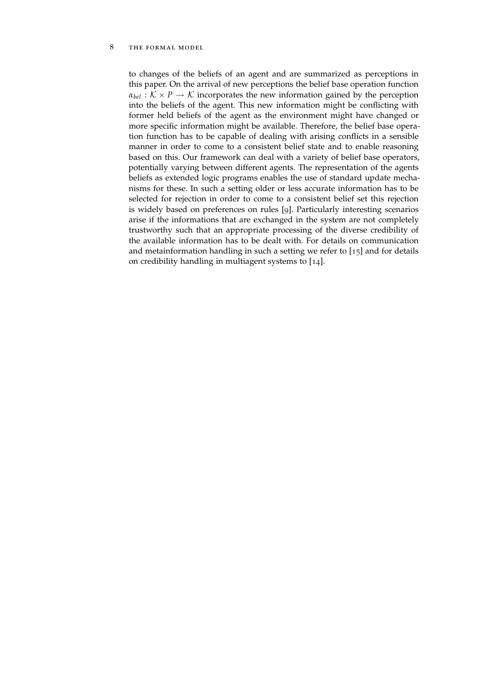#### <span id="page-13-0"></span>8 THE FORMAL MODEL

to changes of the beliefs of an agent and are summarized as perceptions in this paper. On the arrival of new perceptions the belief base operation function  $\alpha_{hel}$  :  $K \times P \rightarrow K$  incorporates the new information gained by the perception into the beliefs of the agent. This new information might be conflicting with former held beliefs of the agent as the environment might have changed or more specific information might be available. Therefore, the belief base operation function has to be capable of dealing with arising conflicts in a sensible manner in order to come to a consistent belief state and to enable reasoning based on this. Our framework can deal with a variety of belief base operators, potentially varying between different agents. The representation of the agents beliefs as extended logic programs enables the use of standard update mechanisms for these. In such a setting older or less accurate information has to be selected for rejection in order to come to a consistent belief set this rejection is widely based on preferences on rules [[9](#page-42-5)]. Particularly interesting scenarios arise if the informations that are exchanged in the system are not completely trustworthy such that an appropriate processing of the diverse credibility of the available information has to be dealt with. For details on communication and metainformation handling in such a setting we refer to  $[15]$  $[15]$  $[15]$  and for details on credibility handling in multiagent systems to [[14](#page-43-4)].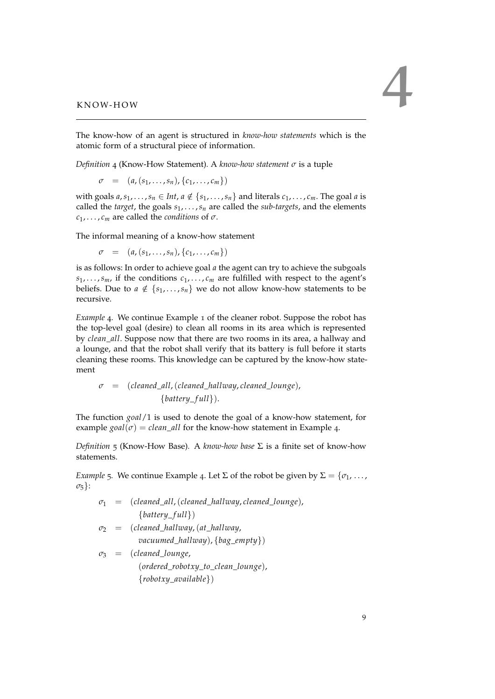<span id="page-14-0"></span>

The know-how of an agent is structured in *know-how statements* which is the atomic form of a structural piece of information.

<span id="page-14-2"></span>*Definition* 4 (Know-How Statement)*.* A *know-how statement σ* is a tuple

 $\sigma = (a, (s_1, \ldots, s_n), \{c_1, \ldots, c_m\})$ 

with goals  $a, s_1, \ldots, s_n \in Int, a \notin \{s_1, \ldots, s_n\}$  and literals  $c_1, \ldots, c_m$ . The goal *a* is called the *target*, the goals *s*1, . . . ,*s<sup>n</sup>* are called the *sub-targets*, and the elements  $c_1, \ldots, c_m$  are called the *conditions* of  $\sigma$ .

The informal meaning of a know-how statement

 $\sigma = (a, (s_1, \ldots, s_n), \{c_1, \ldots, c_m\})$ 

is as follows: In order to achieve goal *a* the agent can try to achieve the subgoals  $s_1, \ldots, s_m$ , if the conditions  $c_1, \ldots, c_m$  are fulfilled with respect to the agent's beliefs. Due to  $a \notin \{s_1, \ldots, s_n\}$  we do not allow know-how statements to be recursive.

<span id="page-14-1"></span>*Example* 4*.* We continue Example [1](#page-8-2) of the cleaner robot. Suppose the robot has the top-level goal (desire) to clean all rooms in its area which is represented by *clean*\_*all*. Suppose now that there are two rooms in its area, a hallway and a lounge, and that the robot shall verify that its battery is full before it starts cleaning these rooms. This knowledge can be captured by the know-how statement

$$
\sigma = (cleaned\_all, (cleaned\_hallway, cleaned\_lounge),{battery_full}).
$$

The function *goal*/1 is used to denote the goal of a know-how statement, for example  $\text{goal}(\sigma) = \text{clean\_all}$  for the know-how statement in Example [4](#page-14-1).

*Definition* 5 (Know-How Base). A *know-how base*  $\Sigma$  is a finite set of know-how statements.

<span id="page-14-3"></span>*Example* 5*.* We continue Example [4](#page-14-1). Let  $\Sigma$  of the robot be given by  $\Sigma = \{\sigma_1, \ldots, \sigma_n\}$ *σ*5}:

$$
\sigma_1 = (cleaned\_all, (cleaned\_hallway, cleaned\_lounge),{battery_full})
$$

- *σ*<sup>2</sup> = (*cleaned*\_*hallway*,(*at*\_*hallway*, *vacuumed*\_*hallway*), {*bag*\_*empty*})
- *σ*<sup>3</sup> = (*cleaned*\_*lounge*, (*ordered*\_*robotxy*\_*to*\_*clean*\_*lounge*), {*robotxy*\_*available*})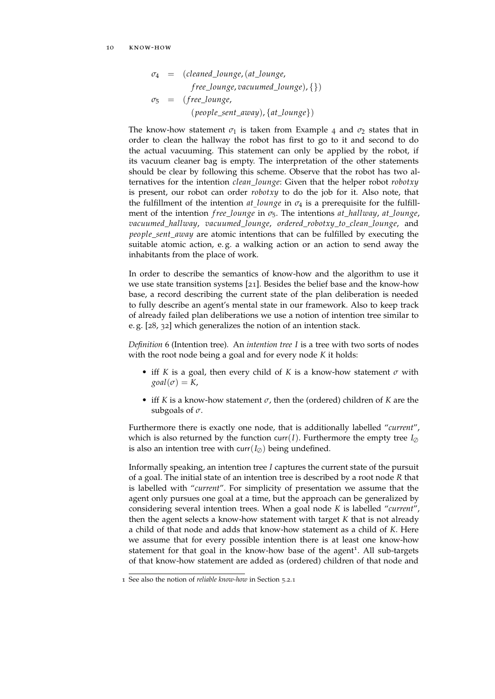<span id="page-15-1"></span>
$$
\sigma_4 = (cleaned\_lounge, (at\_lounge, \nfree\_lounge, vacuumed\_lounge), \{\})
$$
\n
$$
\sigma_5 = (free\_lounge, \n (people\_sent\_away), \{at\_lounge\})
$$

The know-how statement  $\sigma_1$  is taken from Example [4](#page-14-1) and  $\sigma_2$  states that in order to clean the hallway the robot has first to go to it and second to do the actual vacuuming. This statement can only be applied by the robot, if its vacuum cleaner bag is empty. The interpretation of the other statements should be clear by following this scheme. Observe that the robot has two alternatives for the intention *clean*\_*lounge*: Given that the helper robot *robotxy* is present, our robot can order *robotxy* to do the job for it. Also note, that the fulfillment of the intention *at*\_*lounge* in *σ*<sup>4</sup> is a prerequisite for the fulfillment of the intention *f ree*\_*lounge* in *σ*5. The intentions *at*\_*hallway*, *at*\_*lounge*, *vacuumed*\_*hallway*, *vacuumed*\_*lounge*, *ordered*\_*robotxy*\_*to*\_*clean*\_*lounge*, and *people* sent *away* are atomic intentions that can be fulfilled by executing the suitable atomic action, e. g. a walking action or an action to send away the inhabitants from the place of work.

In order to describe the semantics of know-how and the algorithm to use it we use state transition systems [[21](#page-43-7)]. Besides the belief base and the know-how base, a record describing the current state of the plan deliberation is needed to fully describe an agent's mental state in our framework. Also to keep track of already failed plan deliberations we use a notion of intention tree similar to e. g. [[28](#page-44-8), [32](#page-44-9)] which generalizes the notion of an intention stack.

<span id="page-15-0"></span>*Definition* 6 (Intention tree)*.* An *intention tree I* is a tree with two sorts of nodes with the root node being a goal and for every node *K* it holds:

- iff *K* is a goal, then every child of *K* is a know-how statement *σ* with  $\text{goal}(\sigma) = K$ ,
- iff *K* is a know-how statement *σ*, then the (ordered) children of *K* are the subgoals of *σ*.

Furthermore there is exactly one node, that is additionally labelled "*current*", which is also returned by the function curr(*I*). Furthermore the empty tree  $I_{\varnothing}$ is also an intention tree with curr( $I_{\emptyset}$ ) being undefined.

Informally speaking, an intention tree *I* captures the current state of the pursuit of a goal. The initial state of an intention tree is described by a root node *R* that is labelled with "*current*". For simplicity of presentation we assume that the agent only pursues one goal at a time, but the approach can be generalized by considering several intention trees. When a goal node *K* is labelled "*current*", then the agent selects a know-how statement with target *K* that is not already a child of that node and adds that know-how statement as a child of *K*. Here we assume that for every possible intention there is at least one know-how statement for that goal in the know-how base of the agent<sup>1</sup>. All sub-targets of that know-how statement are added as (ordered) children of that node and

<sup>1</sup> See also the notion of *reliable know-how* in Section [5](#page-29-1).2.1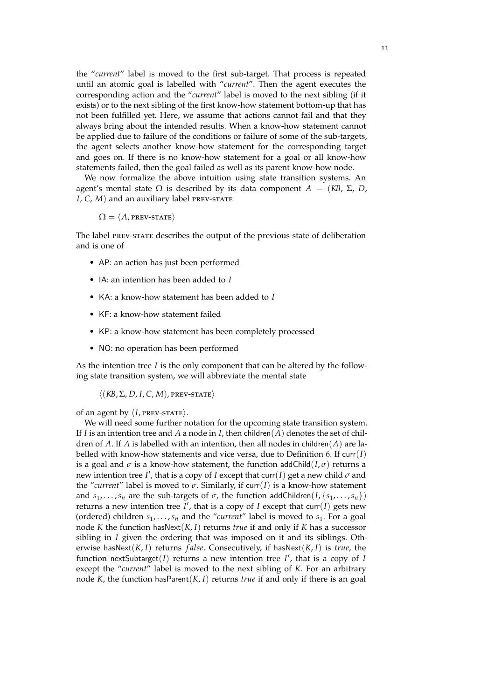the "*current*" label is moved to the first sub-target. That process is repeated until an atomic goal is labelled with "*current*". Then the agent executes the corresponding action and the "*current*" label is moved to the next sibling (if it exists) or to the next sibling of the first know-how statement bottom-up that has not been fulfilled yet. Here, we assume that actions cannot fail and that they always bring about the intended results. When a know-how statement cannot be applied due to failure of the conditions or failure of some of the sub-targets, the agent selects another know-how statement for the corresponding target and goes on. If there is no know-how statement for a goal or all know-how statements failed, then the goal failed as well as its parent know-how node.

We now formalize the above intuition using state transition systems. An agent's mental state  $\Omega$  is described by its data component  $A = (KB, \Sigma, D, \Sigma)$ *I*, *C*, *M*) and an auxiliary label PREV-STATE

$$
\Omega = \langle A, \text{prev-strate} \rangle
$$

The label prev-state describes the output of the previous state of deliberation and is one of

- AP: an action has just been performed
- IA: an intention has been added to *I*
- KA: a know-how statement has been added to *I*
- KF: a know-how statement failed
- KP: a know-how statement has been completely processed
- NO: no operation has been performed

As the intention tree  $I$  is the only component that can be altered by the following state transition system, we will abbreviate the mental state

 $\langle (KB, \Sigma, D, I, C, M),$  prev-state)

of an agent by  $\langle I$ , PREV-STATE $\rangle$ .

We will need some further notation for the upcoming state transition system. If *I* is an intention tree and *A* a node in *I*, then children(*A*) denotes the set of children of *A*. If *A* is labelled with an intention, then all nodes in children(*A*) are labelled with know-how statements and vice versa, due to Definition [6](#page-15-0). If curr(*I*) is a goal and  $\sigma$  is a know-how statement, the function addChild( $I, \sigma$ ) returns a new intention tree *I'*, that is a copy of *I* except that curr(*I*) get a new child  $\sigma$  and the "current" label is moved to  $\sigma$ . Similarly, if curr(*I*) is a know-how statement and  $s_1, \ldots, s_n$  are the sub-targets of  $\sigma$ , the function addChildren( $I, \{s_1, \ldots, s_n\}$ ) returns a new intention tree  $I'$ , that is a copy of *I* except that curr $(I)$  gets new (ordered) children  $s_1, \ldots, s_n$  and the "*current*" label is moved to  $s_1$ . For a goal node *K* the function hasNext(*K*, *I*) returns *true* if and only if *K* has a successor sibling in *I* given the ordering that was imposed on it and its siblings. Otherwise hasNext(*K*, *I*) returns *f alse*. Consecutively, if hasNext(*K*, *I*) is *true*, the function nextSubtarget( $I$ ) returns a new intention tree  $I'$ , that is a copy of  $I$ except the "*current*" label is moved to the next sibling of *K*. For an arbitrary node *K*, the function hasParent(*K*, *I*) returns *true* if and only if there is an goal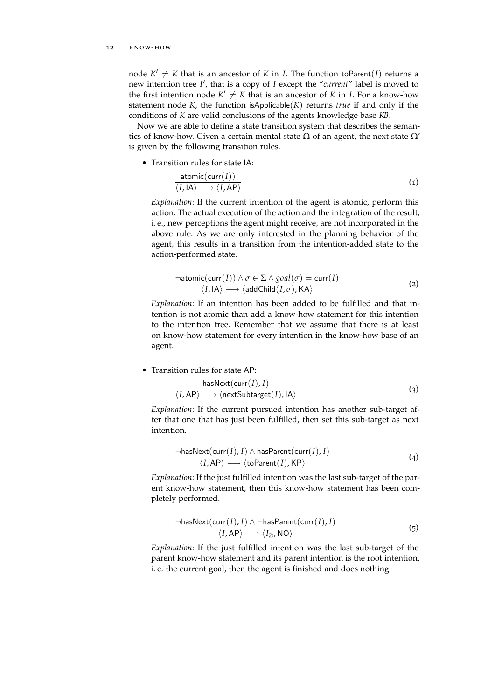#### 12 know-how

node  $K' \neq K$  that is an ancestor of  $K$  in  $I$ . The function toParent $(I)$  returns a new intention tree *I'*, that is a copy of *I* except the "*current*" label is moved to the first intention node  $K' \neq K$  that is an ancestor of *K* in *I*. For a know-how statement node  $K$ , the function is Applicable $(K)$  returns *true* if and only if the conditions of *K* are valid conclusions of the agents knowledge base *KB*.

Now we are able to define a state transition system that describes the semantics of know-how. Given a certain mental state  $\Omega$  of an agent, the next state  $\Omega'$ is given by the following transition rules.

• Transition rules for state IA:

$$
\frac{\text{atomic}(\text{curr}(I))}{\langle I, \text{IA}\rangle \longrightarrow \langle I, \text{AP}\rangle} \tag{1}
$$

*Explanation*: If the current intention of the agent is atomic, perform this action. The actual execution of the action and the integration of the result, i. e., new perceptions the agent might receive, are not incorporated in the above rule. As we are only interested in the planning behavior of the agent, this results in a transition from the intention-added state to the action-performed state.

$$
\frac{\neg atomic(\text{curr}(I)) \land \sigma \in \Sigma \land goal(\sigma) = \text{curr}(I)}{\langle I, I \mathsf{A} \rangle \longrightarrow \langle \text{addChild}(I, \sigma), \mathsf{KA} \rangle} \tag{2}
$$

*Explanation*: If an intention has been added to be fulfilled and that intention is not atomic than add a know-how statement for this intention to the intention tree. Remember that we assume that there is at least on know-how statement for every intention in the know-how base of an agent.

• Transition rules for state AP:

$$
\frac{\text{hasNext}(\text{curr}(I), I)}{\langle I, \text{AP} \rangle \longrightarrow \langle \text{nextSubtarget}(I), \text{IA} \rangle}
$$
(3)

*Explanation*: If the current pursued intention has another sub-target after that one that has just been fulfilled, then set this sub-target as next intention.

$$
\frac{\neg \text{hasNext}(\text{curr}(I), I) \land \text{hasParent}(\text{curr}(I), I)}{\langle I, \text{AP} \rangle} \tag{4}
$$

*Explanation*: If the just fulfilled intention was the last sub-target of the parent know-how statement, then this know-how statement has been completely performed.

$$
\frac{\neg \text{hasNext}(\text{curr}(I), I) \land \neg \text{hasParent}(\text{curr}(I), I)}{\langle I, \text{AP} \rangle \longrightarrow \langle I_{\oslash}, \text{NO} \rangle} \tag{5}
$$

*Explanation*: If the just fulfilled intention was the last sub-target of the parent know-how statement and its parent intention is the root intention, i. e. the current goal, then the agent is finished and does nothing.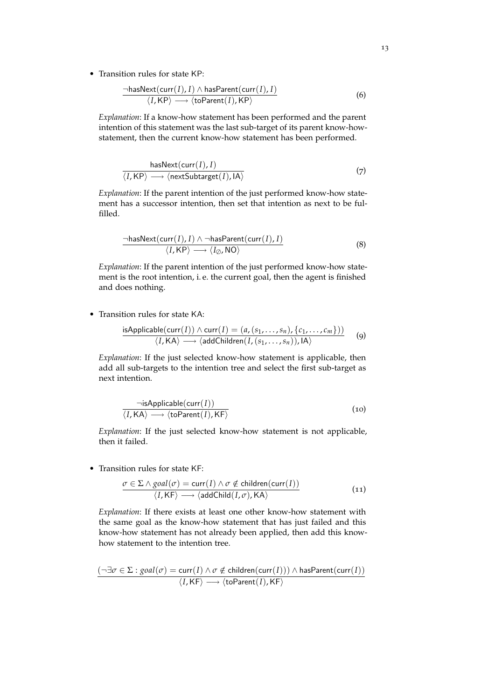• Transition rules for state KP:

$$
\frac{\neg \text{hasNext}(\text{curr}(I), I) \land \text{hasParent}(\text{curr}(I), I)}{\langle I, \text{KP} \rangle} \tag{6}
$$

*Explanation*: If a know-how statement has been performed and the parent intention of this statement was the last sub-target of its parent know-howstatement, then the current know-how statement has been performed.

$$
\frac{\text{hasNext}(\text{curr}(I), I)}{\langle I, \text{KP}\rangle \longrightarrow \langle \text{nextSubtarget}(I), \text{IA}\rangle} \tag{7}
$$

*Explanation*: If the parent intention of the just performed know-how statement has a successor intention, then set that intention as next to be fulfilled.

$$
\frac{\neg \text{hasNext}(\text{curr}(I), I) \land \neg \text{hasParent}(\text{curr}(I), I)}{\langle I, \text{KP} \rangle \longrightarrow \langle I_{\oslash}, \text{NO} \rangle} \tag{8}
$$

*Explanation*: If the parent intention of the just performed know-how statement is the root intention, i. e. the current goal, then the agent is finished and does nothing.

• Transition rules for state KA:

isApplicable
$$
(curr(I)) \land curr(I) = (a, (s_1, ..., s_n), \{c_1, ..., c_m\}))
$$
  
 $\langle I, K\mathsf{A} \rangle \longrightarrow \langle addChildren(I, (s_1, ..., s_n)), \mathsf{IA} \rangle$  (9)

*Explanation*: If the just selected know-how statement is applicable, then add all sub-targets to the intention tree and select the first sub-target as next intention.

$$
\neg \text{isApplicable}(\text{curr}(I)) \langle I, \text{KA} \rangle \longrightarrow \langle \text{toParent}(I), \text{KF} \rangle
$$
\n(10)

*Explanation*: If the just selected know-how statement is not applicable, then it failed.

• Transition rules for state KF:

$$
\frac{\sigma \in \Sigma \wedge goal(\sigma) = \text{curr}(I) \wedge \sigma \notin \text{children}(\text{curr}(I))}{\langle I, \mathsf{KF} \rangle \longrightarrow \langle \text{addChild}(I, \sigma), \mathsf{KA} \rangle} \tag{11}
$$

*Explanation*: If there exists at least one other know-how statement with the same goal as the know-how statement that has just failed and this know-how statement has not already been applied, then add this knowhow statement to the intention tree.

$$
\frac{(\neg \exists \sigma \in \Sigma : goal(\sigma) = \text{curr}(I) \land \sigma \notin \text{children}(\text{curr}(I))) \land \text{hasParent}(\text{curr}(I))}{\langle I, \text{KF} \rangle} \land \text{toParent}(I), \text{KF}}
$$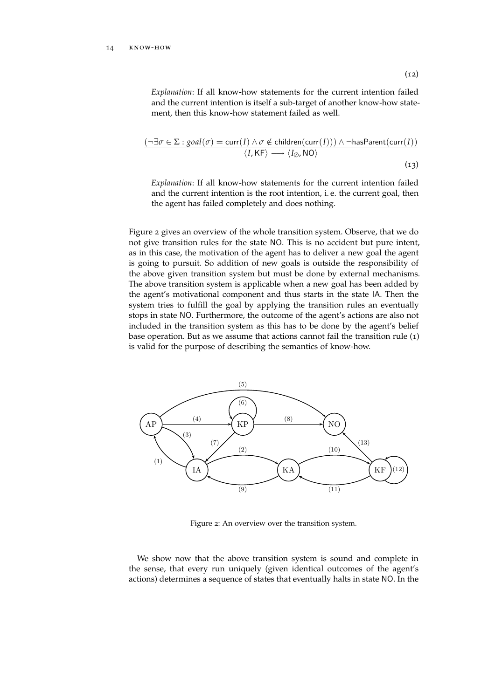#### 14 know-how

$$
\frac{(\neg \exists \sigma \in \Sigma : goal(\sigma) = \text{curr}(I) \land \sigma \notin \text{children}(\text{curr}(I))) \land \neg \text{hasParent}(\text{curr}(I))}{\langle I, \text{KF} \rangle \longrightarrow \langle I_{\varnothing}, \text{NO} \rangle}
$$
\n(13)

*Explanation*: If all know-how statements for the current intention failed and the current intention is the root intention, i. e. the current goal, then the agent has failed completely and does nothing.

Figure [2](#page-19-0) gives an overview of the whole transition system. Observe, that we do not give transition rules for the state NO. This is no accident but pure intent, as in this case, the motivation of the agent has to deliver a new goal the agent is going to pursuit. So addition of new goals is outside the responsibility of the above given transition system but must be done by external mechanisms. The above transition system is applicable when a new goal has been added by the agent's motivational component and thus starts in the state IA. Then the system tries to fulfill the goal by applying the transition rules an eventually stops in state NO. Furthermore, the outcome of the agent's actions are also not included in the transition system as this has to be done by the agent's belief base operation. But as we assume that actions cannot fail the transition rule (1) is valid for the purpose of describing the semantics of know-how.

<span id="page-19-0"></span>

Figure 2: An overview over the transition system.

We show now that the above transition system is sound and complete in the sense, that every run uniquely (given identical outcomes of the agent's actions) determines a sequence of states that eventually halts in state NO. In the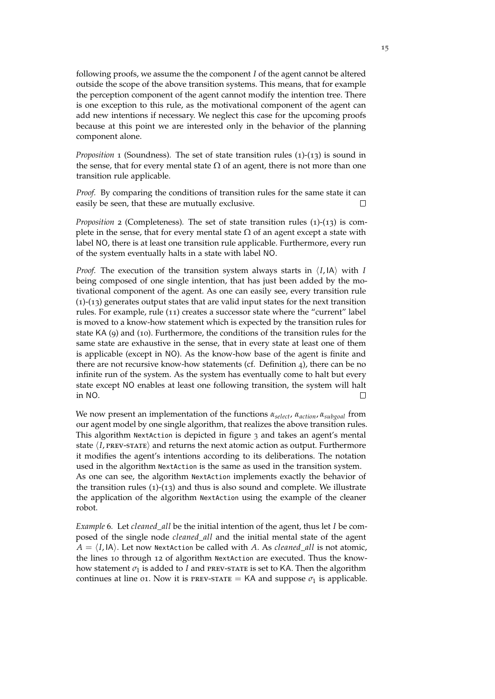following proofs, we assume the the component *I* of the agent cannot be altered outside the scope of the above transition systems. This means, that for example the perception component of the agent cannot modify the intention tree. There is one exception to this rule, as the motivational component of the agent can add new intentions if necessary. We neglect this case for the upcoming proofs because at this point we are interested only in the behavior of the planning component alone.

*Proposition* 1 (Soundness). The set of state transition rules (1)-(13) is sound in the sense, that for every mental state  $\Omega$  of an agent, there is not more than one transition rule applicable.

*Proof.* By comparing the conditions of transition rules for the same state it can easily be seen, that these are mutually exclusive.  $\Box$ 

*Proposition* 2 (Completeness). The set of state transition rules (1)-(13) is complete in the sense, that for every mental state  $\Omega$  of an agent except a state with label NO, there is at least one transition rule applicable. Furthermore, every run of the system eventually halts in a state with label NO.

*Proof.* The execution of the transition system always starts in  $\langle I, \mathsf{IA} \rangle$  with *I* being composed of one single intention, that has just been added by the motivational component of the agent. As one can easily see, every transition rule (1)-(13) generates output states that are valid input states for the next transition rules. For example, rule (11) creates a successor state where the "current" label is moved to a know-how statement which is expected by the transition rules for state KA (9) and (10). Furthermore, the conditions of the transition rules for the same state are exhaustive in the sense, that in every state at least one of them is applicable (except in NO). As the know-how base of the agent is finite and there are not recursive know-how statements (cf. Definition [4](#page-14-2)), there can be no infinite run of the system. As the system has eventually come to halt but every state except NO enables at least one following transition, the system will halt in NO. П

We now present an implementation of the functions *αselect*, *αaction*, *αsubgoal* from our agent model by one single algorithm, that realizes the above transition rules. This algorithm NextAction is depicted in figure [3](#page-21-0) and takes an agent's mental state  $\langle I$ , PREV-STATE $\rangle$  and returns the next atomic action as output. Furthermore it modifies the agent's intentions according to its deliberations. The notation used in the algorithm NextAction is the same as used in the transition system. As one can see, the algorithm NextAction implements exactly the behavior of the transition rules  $(1)-(13)$  and thus is also sound and complete. We illustrate the application of the algorithm NextAction using the example of the cleaner robot.

*Example* 6*.* Let *cleaned*\_*all* be the initial intention of the agent, thus let *I* be composed of the single node *cleaned*\_*all* and the initial mental state of the agent  $A = \langle I, I \rangle$ . Let now NextAction be called with *A*. As *cleaned\_all* is not atomic, the lines 10 through 12 of algorithm NextAction are executed. Thus the knowhow statement  $\sigma_1$  is added to *I* and PREV-STATE is set to KA. Then the algorithm continues at line 01. Now it is PREV-STATE = KA and suppose  $\sigma_1$  is applicable.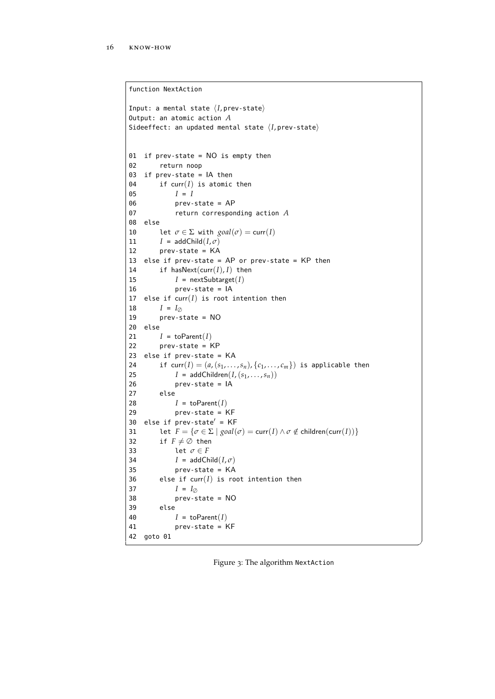```
function NextAction
Input: a mental state \langle I, prev-state\rangleOutput: an atomic action A
Sideeffect: an updated mental state \langle I, \text{prev-state} \rangle01 if prev-state = NO is empty then
02 return noop
03 if prev-state = IA then
04 if curr(I) is atomic then
05 I = I06 prev-state = AP
07 return corresponding action A
08 else
10 let \sigma \in \Sigma with goal(\sigma) = curr(I)11 I = addChild(I, \sigma)12 prev-state = KA
13 else if prev-state = AP or prev-state = KP then
14 if hasNext(curr(I), I) then
15 I = \text{nextSubtarget}(I)16 prev-state = IA
17 else if curr(I) is root intention then
18 I = I_{\emptyset}<br>19 prev-s
        prev-state = NO20 else
21 I = \text{toParent}(I)22 prev-state = KP
23 else if prev-state = KA
24 if curr(I) = (a, (s_1, \ldots, s_n), \{c_1, \ldots, c_m\}) is applicable then
25 I = addChildren(I, (s_1, \ldots, s_n))26 prev-state = IA
27 else
28 I = \text{toParent}(I)29 prev-state = KF
30 else if prev-state' = KF31 let F = \{\sigma \in \Sigma \mid goal(\sigma) = \text{curr}(I) \land \sigma \notin \text{children}(\text{curr}(I))\}32 if F \neq \emptyset then
33 let \sigma \in F34 I = addChild(I, \sigma)35 prev-state = KA
36 else if curr(I) is root intention then
37 I = I_{\emptyset}38 prev-state = NO
39 else
40 I = \text{toParent}(I)41 prev-state = KF
42 goto 01
```
Figure 3: The algorithm NextAction

✆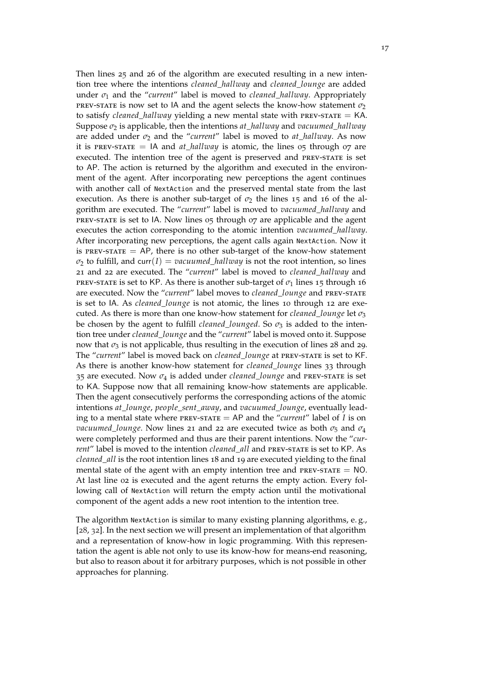<span id="page-22-0"></span>Then lines 25 and 26 of the algorithm are executed resulting in a new intention tree where the intentions *cleaned*\_*hallway* and *cleaned*\_*lounge* are added under  $\sigma_1$  and the "*current*" label is moved to *cleaned\_hallway*. Appropriately PREV-STATE is now set to IA and the agent selects the know-how statement  $\sigma_2$ to satisfy *cleaned\_hallway* yielding a new mental state with PREV-STATE  $=$  KA. Suppose *σ*<sup>2</sup> is applicable, then the intentions *at*\_*hallway* and *vacuumed*\_*hallway* are added under  $\sigma_2$  and the "*current*" label is moved to  $at\_hallway$ . As now it is PREV-STATE  $=$  IA and *at hallway* is atomic, the lines  $\sigma$ <sub>5</sub> through  $\sigma$ <sub>7</sub> are executed. The intention tree of the agent is preserved and prev-state is set to AP. The action is returned by the algorithm and executed in the environment of the agent. After incorporating new perceptions the agent continues with another call of NextAction and the preserved mental state from the last execution. As there is another sub-target of  $\sigma_2$  the lines 15 and 16 of the algorithm are executed. The "*current*" label is moved to *vacuumed*\_*hallway* and prev-state is set to IA. Now lines 05 through 07 are applicable and the agent executes the action corresponding to the atomic intention *vacuumed*\_*hallway*. After incorporating new perceptions, the agent calls again NextAction. Now it is PREV-STATE  $= AP$ , there is no other sub-target of the know-how statement  $\sigma_2$  to fulfill, and curr(*I*) = *vacuumed\_hallway* is not the root intention, so lines 21 and 22 are executed. The "*current*" label is moved to *cleaned*\_*hallway* and PREV-STATE is set to KP. As there is another sub-target of  $\sigma_1$  lines 15 through 16 are executed. Now the "*current*" label moves to *cleaned*\_*lounge* and prev-state is set to IA. As *cleaned*\_*lounge* is not atomic, the lines 10 through 12 are executed. As there is more than one know-how statement for *cleaned*\_*lounge* let *σ*<sup>3</sup> be chosen by the agent to fulfill *cleaned\_lounged*. So  $\sigma_3$  is added to the intention tree under *cleaned*\_*lounge* and the "*current*" label is moved onto it. Suppose now that  $\sigma_3$  is not applicable, thus resulting in the execution of lines 28 and 29. The "*current*" label is moved back on *cleaned*\_*lounge* at prev-state is set to KF. As there is another know-how statement for *cleaned*\_*lounge* lines 33 through 35 are executed. Now *σ*<sup>4</sup> is added under *cleaned*\_*lounge* and prev-state is set to KA. Suppose now that all remaining know-how statements are applicable. Then the agent consecutively performs the corresponding actions of the atomic intentions *at*\_*lounge*, *people*\_*sent*\_*away*, and *vacuumed*\_*lounge*, eventually leading to a mental state where prev-state = AP and the "*current*" label of *I* is on *vacuumed*\_*lounge*. Now lines 21 and 22 are executed twice as both  $\sigma_5$  and  $\sigma_4$ were completely performed and thus are their parent intentions. Now the "*current*" label is moved to the intention *cleaned*\_*all* and prev-state is set to KP. As *cleaned*\_*all* is the root intention lines 18 and 19 are executed yielding to the final mental state of the agent with an empty intention tree and  $P_{\text{REV-STATE}} = \text{NO}$ . At last line 02 is executed and the agent returns the empty action. Every following call of NextAction will return the empty action until the motivational component of the agent adds a new root intention to the intention tree.

The algorithm NextAction is similar to many existing planning algorithms, e. g., [[28](#page-44-8), [32](#page-44-9)]. In the next section we will present an implementation of that algorithm and a representation of know-how in logic programming. With this representation the agent is able not only to use its know-how for means-end reasoning, but also to reason about it for arbitrary purposes, which is not possible in other approaches for planning.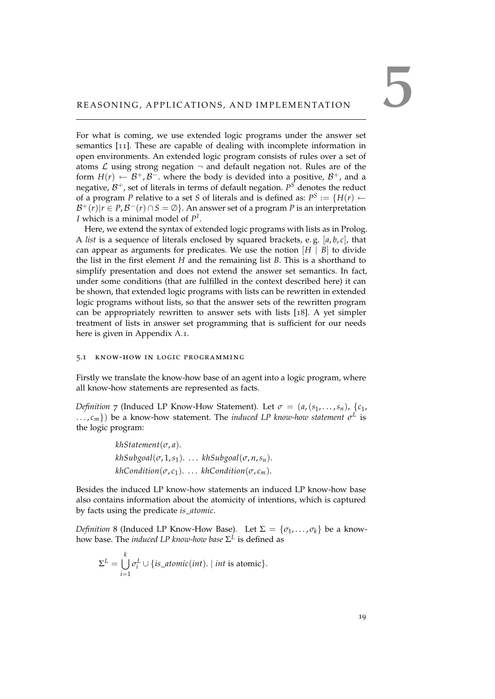<span id="page-24-2"></span><span id="page-24-0"></span>For what is coming, we use extended logic programs under the answer set semantics [[11](#page-43-8)]. These are capable of dealing with incomplete information in open environments. An extended logic program consists of rules over a set of atoms  $\mathcal L$  using strong negation  $\neg$  and default negation not. Rules are of the form  $H(r) \leftarrow \mathcal{B}^+$ ,  $\mathcal{B}^-$ . where the body is devided into a positive,  $\mathcal{B}^+$ , and a negative, B <sup>+</sup>, set of literals in terms of default negation. *P <sup>S</sup>* denotes the reduct of a program *P* relative to a set *S* of literals and is defined as:  $P^S := \{H(r) \leftarrow \}$  $\mathcal{B}^+(r)|r \in P$ ,  $\mathcal{B}^-(r) \cap S = \emptyset$ . An answer set of a program P is an interpretation *I* which is a minimal model of *P I* .

Here, we extend the syntax of extended logic programs with lists as in Prolog. A *list* is a sequence of literals enclosed by squared brackets, e.g.  $[a, b, c]$ , that can appear as arguments for predicates. We use the notion  $[H \mid B]$  to divide the list in the first element *H* and the remaining list *B*. This is a shorthand to simplify presentation and does not extend the answer set semantics. In fact, under some conditions (that are fulfilled in the context described here) it can be shown, that extended logic programs with lists can be rewritten in extended logic programs without lists, so that the answer sets of the rewritten program can be appropriately rewritten to answer sets with lists [[18](#page-43-9)]. A yet simpler treatment of lists in answer set programming that is sufficient for our needs here is given in Appendix [A.](#page-38-1)1.

#### <span id="page-24-1"></span>5.1 know-how in logic programming

Firstly we translate the know-how base of an agent into a logic program, where all know-how statements are represented as facts.

*Definition* 7 (Induced LP Know-How Statement). Let  $\sigma = (a, (s_1, \ldots, s_n), \{c_1, \ldots, c_n\})$  $\ldots$ ,  $c_m$ }) be a know-how statement. The *induced LP know-how statement*  $\sigma^L$  is the logic program:

> *khStatement*(*σ*, *a*).  $khSubgoal(\sigma, 1, s_1).$  ...  $khSubgoal(\sigma, n, s_n).$  $khCondition(\sigma, c_1)$ . . . .  $khCondition(\sigma, c_m)$ .

Besides the induced LP know-how statements an induced LP know-how base also contains information about the atomicity of intentions, which is captured by facts using the predicate *is*\_*atomic*.

*Definition* 8 (Induced LP Know-How Base). Let  $\Sigma = {\sigma_1, \ldots, \sigma_k}$  be a knowhow base. The *induced LP know-how base* Σ *L* is defined as

$$
\Sigma^{L} = \bigcup_{i=1}^{k} \sigma_{i}^{L} \cup \{is\_atomic(int). \mid int \text{ is atomic}\}.
$$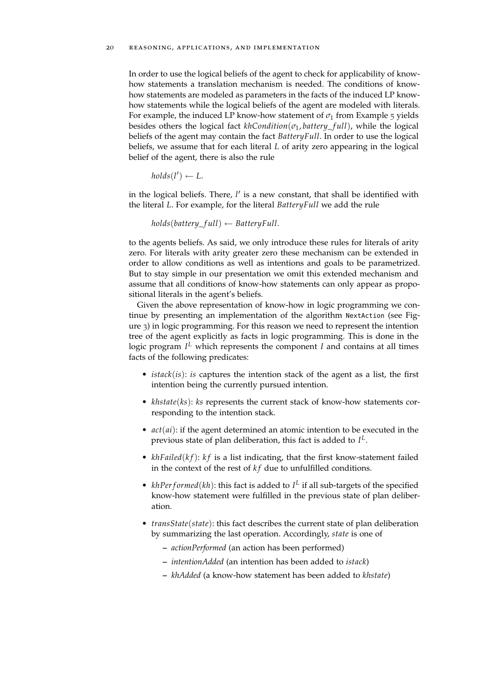#### 20 reasoning, applications, and implementation

In order to use the logical beliefs of the agent to check for applicability of knowhow statements a translation mechanism is needed. The conditions of knowhow statements are modeled as parameters in the facts of the induced LP knowhow statements while the logical beliefs of the agent are modeled with literals. For example, the induced LP know-how statement of  $\sigma_1$  from Example [5](#page-14-3) yields besides others the logical fact  $khCondition(\sigma_1, battery_full)$ , while the logical beliefs of the agent may contain the fact *BatteryFull*. In order to use the logical beliefs, we assume that for each literal *L* of arity zero appearing in the logical belief of the agent, there is also the rule

$$
holds(l') \leftarrow L.
$$

in the logical beliefs. There, *l'* is a new constant, that shall be identified with the literal *L*. For example, for the literal *BatteryFull* we add the rule

*holds*(*battery*\_ *f ull*) ← *BatteryFull*.

to the agents beliefs. As said, we only introduce these rules for literals of arity zero. For literals with arity greater zero these mechanism can be extended in order to allow conditions as well as intentions and goals to be parametrized. But to stay simple in our presentation we omit this extended mechanism and assume that all conditions of know-how statements can only appear as propositional literals in the agent's beliefs.

Given the above representation of know-how in logic programming we continue by presenting an implementation of the algorithm NextAction (see Figure [3](#page-21-0)) in logic programming. For this reason we need to represent the intention tree of the agent explicitly as facts in logic programming. This is done in the logic program *I <sup>L</sup>* which represents the component *I* and contains at all times facts of the following predicates:

- *istack*(*is*): *is* captures the intention stack of the agent as a list, the first intention being the currently pursued intention.
- *khstate*(*ks*): *ks* represents the current stack of know-how statements corresponding to the intention stack.
- *act*(*ai*): if the agent determined an atomic intention to be executed in the previous state of plan deliberation, this fact is added to *I L* .
- *khFailed*(*kf*): *kf* is a list indicating, that the first know-statement failed in the context of the rest of  $kf$  due to unfulfilled conditions.
- $khPerformed(kh)$ : this fact is added to  $I<sup>L</sup>$  if all sub-targets of the specified know-how statement were fulfilled in the previous state of plan deliberation.
- *transState*(*state*): this fact describes the current state of plan deliberation by summarizing the last operation. Accordingly, *state* is one of
	- **–** *actionPerformed* (an action has been performed)
	- **–** *intentionAdded* (an intention has been added to *istack*)
	- **–** *khAdded* (a know-how statement has been added to *khstate*)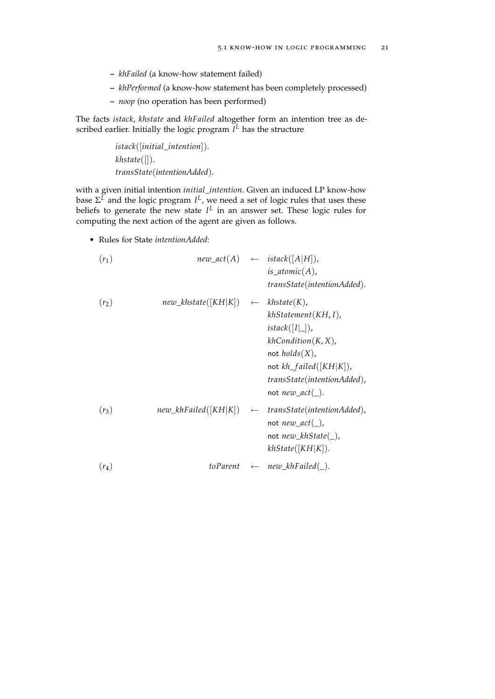- **–** *khFailed* (a know-how statement failed)
- **–** *khPerformed* (a know-how statement has been completely processed)
- **–** *noop* (no operation has been performed)

The facts *istack*, *khstate* and *khFailed* altogether form an intention tree as described earlier. Initially the logic program *I <sup>L</sup>* has the structure

> *istack*([*initial*\_*intention*]). *khstate*([]). *transState*(*intentionAdded*).

with a given initial intention *initial*\_*intention*. Given an induced LP know-how base  $\Sigma^L$  and the logic program  $I^L$ , we need a set of logic rules that uses these beliefs to generate the new state  $I^L$  in an answer set. These logic rules for computing the next action of the agent are given as follows.

• Rules for State *intentionAdded*:

$$
(r_1) \qquad \qquad new\_act(A) \qquad \leftarrow \quad \text{istack}([A|H]),
$$
\n
$$
is\_atomic(A),
$$
\n
$$
transState(intentionAded).
$$

(*r*2) *new*\_*khstate*([*KH*|*K*]) ← *khstate*(*K*), *khStatement*(*KH*, *I*), *istack*([*I*|\_]), *khCondition*(*K*, *X*), not *holds*(*X*), not *kh*\_ *f ailed*([*KH*|*K*]), *transState*(*intentionAdded*), not *new*\_*act*(\_). (*r*3) *new*\_*khFailed*([*KH*|*K*]) ← *transState*(*intentionAdded*), not *new*\_*act*(\_), not *new*\_*khState*(\_), *khState*([*KH*|*K*]). (*r*4) *toParent* ← *new*\_*khFailed*(\_).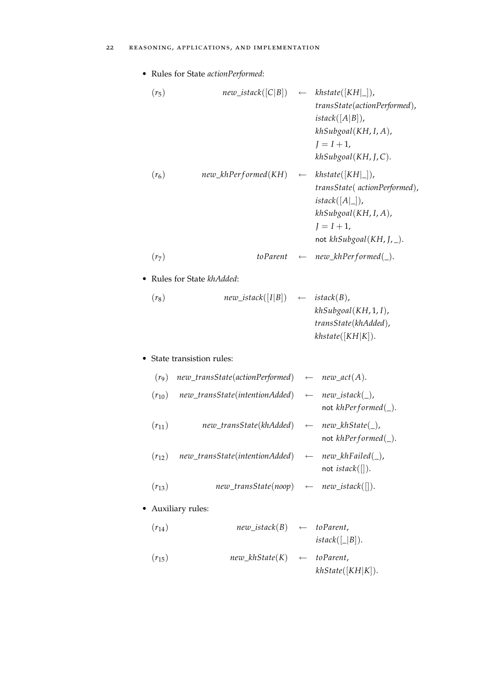• Rules for State *actionPerformed*:

(*r*5) *new*\_*istack*([*C*|*B*]) ← *khstate*([*KH*|\_]), *transState*(*actionPerformed*), *istack*([*A*|*B*]), *khSubgoal*(*KH*, *I*, *A*), *J* = *I* + 1, *khSubgoal*(*KH*, *J*, *C*). (*r*6) *new*\_*khPer f ormed*(*KH*) ← *khstate*([*KH*|\_]), *transState*( *actionPerformed*), *istack*([*A*|\_]), *khSubgoal*(*KH*, *I*, *A*), *J* = *I* + 1, not *khSubgoal*(*KH*, *J*, \_). (*r*7) *toParent* ← *new*\_*khPer f ormed*(\_). • Rules for State *khAdded*: (*r*8) *new*\_*istack*([*I*|*B*]) ← *istack*(*B*), *khSubgoal*(*KH*, 1, *I*), *transState*(*khAdded*), *khstate*([*KH*|*K*]). • State transistion rules: (*r*9) *new*\_*transState*(*actionPerformed*) ← *new*\_*act*(*A*). (*r*10) *new*\_*transState*(*intentionAdded*) ← *new*\_*istack*(\_), not *khPer f ormed*(\_). (*r*11) *new*\_*transState*(*khAdded*) ← *new*\_*khState*(\_), not *khPer f ormed*(\_). (*r*12) *new*\_*transState*(*intentionAdded*) ← *new*\_*khFailed*(\_), not *istack*([]). (*r*13) *new*\_*transState*(*noop*) ← *new*\_*istack*([]). • Auxiliary rules: (*r*14) *new*\_*istack*(*B*) ← *toParent*, *istack*([\_|*B*]). (*r*15) *new*\_*khState*(*K*) ← *toParent*, *khState*([*KH*|*K*]).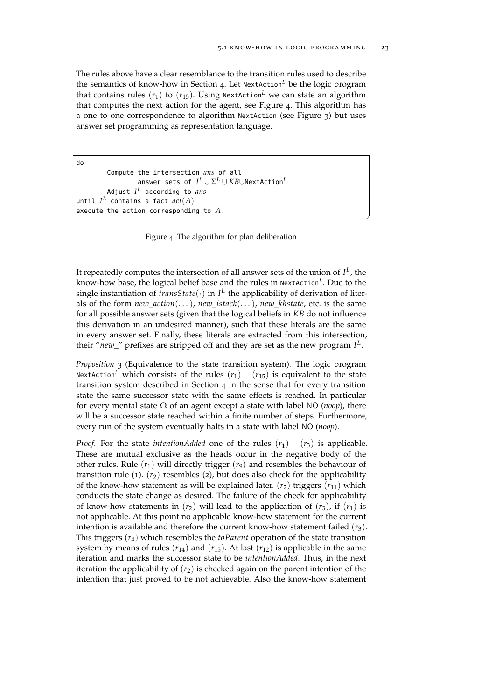✆

The rules above have a clear resemblance to the transition rules used to describe the semantics of know-how in Section [4](#page-14-0). Let NextAction*<sup>L</sup>* be the logic program that contains rules  $(r_1)$  to  $(r_{15})$ . Using NextAction<sup>L</sup> we can state an algorithm that computes the next action for the agent, see Figure [4](#page-28-0). This algorithm has a one to one correspondence to algorithm NextAction (see Figure [3](#page-21-0)) but uses answer set programming as representation language.

```
do
          Compute the intersection ans of all
                     answer sets of I^L \cup \Sigma^L \cup KB \cup \mathsf{NextAction}^LAdjust I
L according to ans
<code>until I^L contains a fact \mathit{act}(A)</code>
execute the action corresponding to A.
```
Figure 4: The algorithm for plan deliberation

It repeatedly computes the intersection of all answer sets of the union of *I L* , the know-how base, the logical belief base and the rules in NextAction*<sup>L</sup>* . Due to the single instantiation of  $transState(\cdot)$  in  $I^L$  the applicability of derivation of literals of the form *new*\_*action*(. . .), *new*\_*istack*(. . .), *new*\_*khstate*, etc. is the same for all possible answer sets (given that the logical beliefs in *KB* do not influence this derivation in an undesired manner), such that these literals are the same in every answer set. Finally, these literals are extracted from this intersection, their "*new*\_" prefixes are stripped off and they are set as the new program *I L* .

*Proposition* 3 (Equivalence to the state transition system)*.* The logic program NextAction<sup>L</sup> which consists of the rules  $(r_1) - (r_{15})$  is equivalent to the state transition system described in Section [4](#page-14-0) in the sense that for every transition state the same successor state with the same effects is reached. In particular for every mental state Ω of an agent except a state with label NO (*noop*), there will be a successor state reached within a finite number of steps. Furthermore, every run of the system eventually halts in a state with label NO (*noop*).

*Proof.* For the state *intentionAdded* one of the rules  $(r_1) - (r_3)$  is applicable. These are mutual exclusive as the heads occur in the negative body of the other rules. Rule  $(r_1)$  will directly trigger  $(r_9)$  and resembles the behaviour of transition rule  $(1)$ .  $(r_2)$  resembles  $(2)$ , but does also check for the applicability of the know-how statement as will be explained later.  $(r_2)$  triggers  $(r_{11})$  which conducts the state change as desired. The failure of the check for applicability of know-how statements in  $(r_2)$  will lead to the application of  $(r_3)$ , if  $(r_1)$  is not applicable. At this point no applicable know-how statement for the current intention is available and therefore the current know-how statement failed  $(r_3)$ . This triggers (*r*4) which resembles the *toParent* operation of the state transition system by means of rules  $(r_{14})$  and  $(r_{15})$ . At last  $(r_{12})$  is applicable in the same iteration and marks the successor state to be *intentionAdded*. Thus, in the next iteration the applicability of  $(r_2)$  is checked again on the parent intention of the intention that just proved to be not achievable. Also the know-how statement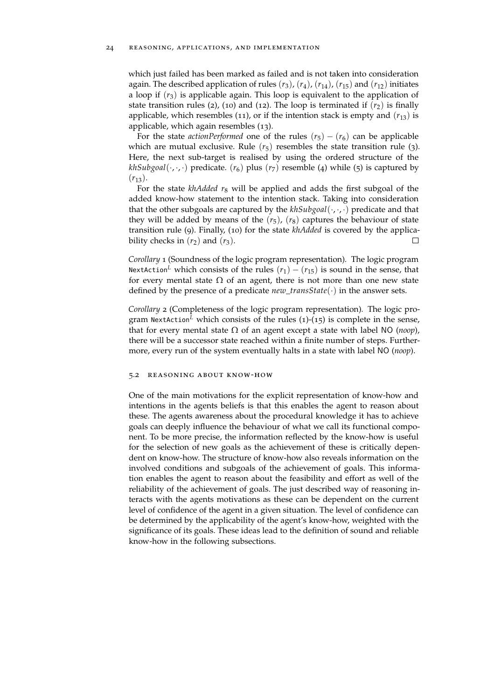which just failed has been marked as failed and is not taken into consideration again. The described application of rules  $(r_3)$ ,  $(r_4)$ ,  $(r_{14})$ ,  $(r_{15})$  and  $(r_{12})$  initiates a loop if  $(r_3)$  is applicable again. This loop is equivalent to the application of state transition rules (2), (10) and (12). The loop is terminated if  $(r_2)$  is finally applicable, which resembles (11), or if the intention stack is empty and  $(r_{13})$  is applicable, which again resembles (13).

For the state *actionPerformed* one of the rules  $(r_5) - (r_6)$  can be applicable which are mutual exclusive. Rule  $(r_5)$  resembles the state transition rule (3). Here, the next sub-target is realised by using the ordered structure of the *khSubgoal*( $\cdot$ , $\cdot$ , $\cdot$ ) predicate. ( $r_6$ ) plus ( $r_7$ ) resemble (4) while (5) is captured by  $(r_{13})$ .

For the state *khAdded*  $r_8$  will be applied and adds the first subgoal of the added know-how statement to the intention stack. Taking into consideration that the other subgoals are captured by the *khSubgoal*(·, ·, ·) predicate and that they will be added by means of the  $(r_5)$ ,  $(r_8)$  captures the behaviour of state transition rule (9). Finally, (10) for the state *khAdded* is covered by the applicability checks in  $(r_2)$  and  $(r_3)$ .  $\Box$ 

*Corollary* 1 (Soundness of the logic program representation)*.* The logic program NextAction<sup>L</sup> which consists of the rules  $(r_1) - (r_{15})$  is sound in the sense, that for every mental state  $\Omega$  of an agent, there is not more than one new state defined by the presence of a predicate *new*\_*transState*(·) in the answer sets.

*Corollary* 2 (Completeness of the logic program representation)*.* The logic program NextAction<sup>L</sup> which consists of the rules  $(1)-(15)$  is complete in the sense, that for every mental state  $\Omega$  of an agent except a state with label NO (*noop*), there will be a successor state reached within a finite number of steps. Furthermore, every run of the system eventually halts in a state with label NO (*noop*).

#### <span id="page-29-0"></span>5.2 reasoning about know-how

<span id="page-29-1"></span>One of the main motivations for the explicit representation of know-how and intentions in the agents beliefs is that this enables the agent to reason about these. The agents awareness about the procedural knowledge it has to achieve goals can deeply influence the behaviour of what we call its functional component. To be more precise, the information reflected by the know-how is useful for the selection of new goals as the achievement of these is critically dependent on know-how. The structure of know-how also reveals information on the involved conditions and subgoals of the achievement of goals. This information enables the agent to reason about the feasibility and effort as well of the reliability of the achievement of goals. The just described way of reasoning interacts with the agents motivations as these can be dependent on the current level of confidence of the agent in a given situation. The level of confidence can be determined by the applicability of the agent's know-how, weighted with the significance of its goals. These ideas lead to the definition of sound and reliable know-how in the following subsections.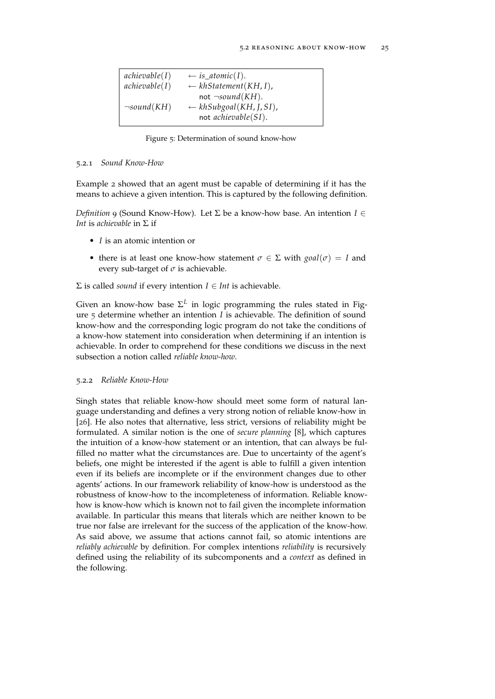<span id="page-30-2"></span><span id="page-30-1"></span>

| achievable(I)    | $\leftarrow$ is_atomic(I).                                                                     |
|------------------|------------------------------------------------------------------------------------------------|
| achievable(I)    | $\leftarrow khStatement(KH, I),$                                                               |
| $\neg sound(KH)$ | not $\neg sound(KH)$ .<br>$\leftarrow$ khSubgoal(KH, J, SI),<br>not <i>achievable</i> $(SI)$ . |

Figure 5: Determination of sound know-how

#### 5.2.1 *Sound Know-How*

Example [2](#page-8-1) showed that an agent must be capable of determining if it has the means to achieve a given intention. This is captured by the following definition.

*Definition* 9 (Sound Know-How)*.* Let Σ be a know-how base. An intention *I* ∈ *Int* is *achievable* in Σ if

- *I* is an atomic intention or
- there is at least one know-how statement  $\sigma \in \Sigma$  with  $\text{goal}(\sigma) = I$  and every sub-target of  $\sigma$  is achievable.

 $\Sigma$  is called *sound* if every intention  $I \in Int$  is achievable.

Given an know-how base  $\Sigma^L$  in logic programming the rules stated in Figure [5](#page-30-1) determine whether an intention *I* is achievable. The definition of sound know-how and the corresponding logic program do not take the conditions of a know-how statement into consideration when determining if an intention is achievable. In order to comprehend for these conditions we discuss in the next subsection a notion called *reliable know-how*.

#### <span id="page-30-0"></span>5.2.2 *Reliable Know-How*

Singh states that reliable know-how should meet some form of natural language understanding and defines a very strong notion of reliable know-how in [[26](#page-44-3)]. He also notes that alternative, less strict, versions of reliability might be formulated. A similar notion is the one of *secure planning* [[8](#page-42-6)], which captures the intuition of a know-how statement or an intention, that can always be fulfilled no matter what the circumstances are. Due to uncertainty of the agent's beliefs, one might be interested if the agent is able to fulfill a given intention even if its beliefs are incomplete or if the environment changes due to other agents' actions. In our framework reliability of know-how is understood as the robustness of know-how to the incompleteness of information. Reliable knowhow is know-how which is known not to fail given the incomplete information available. In particular this means that literals which are neither known to be true nor false are irrelevant for the success of the application of the know-how. As said above, we assume that actions cannot fail, so atomic intentions are *reliably achievable* by definition. For complex intentions *reliability* is recursively defined using the reliability of its subcomponents and a *context* as defined in the following.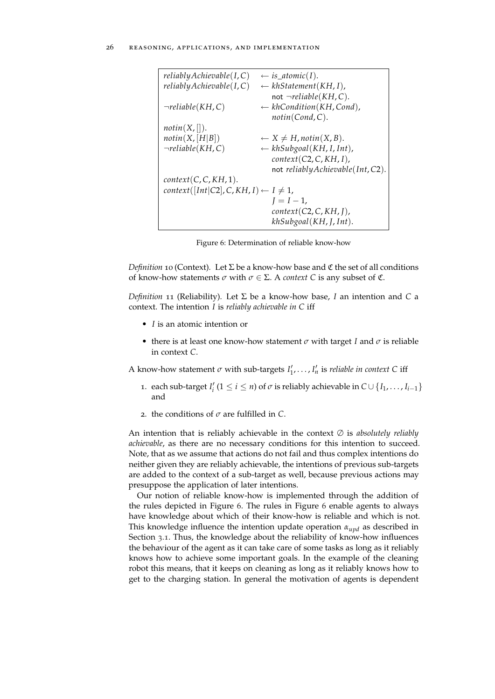<span id="page-31-0"></span>

| reliablyAchievable (I, C)                          | $\leftarrow$ is_atomic(I).                                |
|----------------------------------------------------|-----------------------------------------------------------|
| reliablyAchievable (I, C)                          | $\leftarrow khStatement(KH, I),$                          |
|                                                    | not $\neg$ <i>reliable</i> ( <i>KH</i> , <i>C</i> ).      |
| $\neg$ reliable(KH, C)                             | $\leftarrow$ khCondition(KH, Cond),<br>$notin(Cond, C)$ . |
| notin(X, []).                                      |                                                           |
| notin(X, [H B])                                    | $\leftarrow$ X $\neq$ H, notin(X, B).                     |
| $\neg$ reliable(KH, C)                             | $\leftarrow$ khSubgoal(KH, I, Int),                       |
|                                                    | context(C2, C, KH, I),                                    |
|                                                    | not reliably Achievable (Int, C2).                        |
| context(C, C, KH, 1).                              |                                                           |
| $context([Int C2], C, KH, I) \leftarrow I \neq 1,$ |                                                           |
|                                                    | $I = I - 1$ ,                                             |
|                                                    | context(C2, C, KH, I),                                    |
|                                                    | khSubgoal(KH, J, Int).                                    |
|                                                    |                                                           |

Figure 6: Determination of reliable know-how

*Definition* 10 (Context)*.* Let Σ be a know-how base and C the set of all conditions of know-how statements *σ* with *σ* ∈ Σ. A *context C* is any subset of C.

*Definition* 11 (Reliability)*.* Let Σ be a know-how base, *I* an intention and *C* a context. The intention *I* is *reliably achievable in C* iff

- *I* is an atomic intention or
- there is at least one know-how statement *σ* with target *I* and *σ* is reliable in context *C*.

A know-how statement  $\sigma$  with sub-targets  $I'_1, \ldots, I'_n$  is *reliable in context* C iff

- 1. each sub-target *I*<sup>'</sup><sub>*i*</sub></sub> (1 ≤ *i* ≤ *n*) of  $\sigma$  is reliably achievable in  $C \cup \{I_1, \ldots, I_{i-1}\}$ and
- 2. the conditions of *σ* are fulfilled in *C*.

An intention that is reliably achievable in the context ∅ is *absolutely reliably achievable*, as there are no necessary conditions for this intention to succeed. Note, that as we assume that actions do not fail and thus complex intentions do neither given they are reliably achievable, the intentions of previous sub-targets are added to the context of a sub-target as well, because previous actions may presuppose the application of later intentions.

Our notion of reliable know-how is implemented through the addition of the rules depicted in Figure [6](#page-31-0). The rules in Figure [6](#page-31-0) enable agents to always have knowledge about which of their know-how is reliable and which is not. This knowledge influence the intention update operation *αupd* as described in Section [3](#page-10-1).1. Thus, the knowledge about the reliability of know-how influences the behaviour of the agent as it can take care of some tasks as long as it reliably knows how to achieve some important goals. In the example of the cleaning robot this means, that it keeps on cleaning as long as it reliably knows how to get to the charging station. In general the motivation of agents is dependent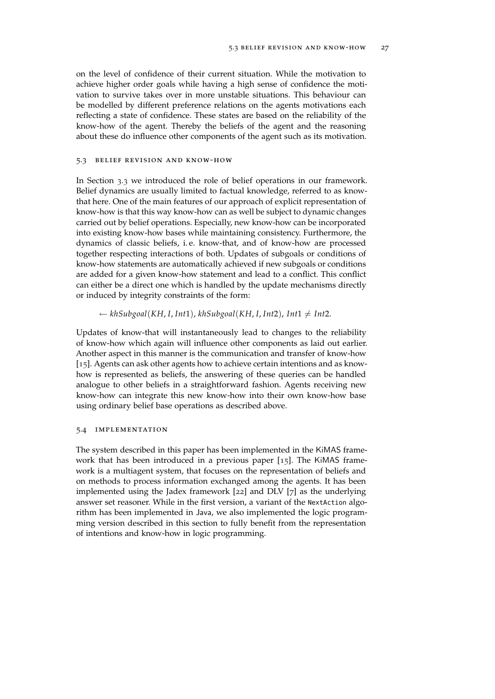<span id="page-32-2"></span>on the level of confidence of their current situation. While the motivation to achieve higher order goals while having a high sense of confidence the motivation to survive takes over in more unstable situations. This behaviour can be modelled by different preference relations on the agents motivations each reflecting a state of confidence. These states are based on the reliability of the know-how of the agent. Thereby the beliefs of the agent and the reasoning about these do influence other components of the agent such as its motivation.

#### <span id="page-32-0"></span>5.3 belief revision and know-how

In Section [3](#page-12-1).3 we introduced the role of belief operations in our framework. Belief dynamics are usually limited to factual knowledge, referred to as knowthat here. One of the main features of our approach of explicit representation of know-how is that this way know-how can as well be subject to dynamic changes carried out by belief operations. Especially, new know-how can be incorporated into existing know-how bases while maintaining consistency. Furthermore, the dynamics of classic beliefs, i. e. know-that, and of know-how are processed together respecting interactions of both. Updates of subgoals or conditions of know-how statements are automatically achieved if new subgoals or conditions are added for a given know-how statement and lead to a conflict. This conflict can either be a direct one which is handled by the update mechanisms directly or induced by integrity constraints of the form:

#### $\leftarrow$  khSubgoal(KH, I, Int1), khSubgoal(KH, I, Int2), Int1  $\neq$  Int2.

Updates of know-that will instantaneously lead to changes to the reliability of know-how which again will influence other components as laid out earlier. Another aspect in this manner is the communication and transfer of know-how [[15](#page-43-0)]. Agents can ask other agents how to achieve certain intentions and as knowhow is represented as beliefs, the answering of these queries can be handled analogue to other beliefs in a straightforward fashion. Agents receiving new know-how can integrate this new know-how into their own know-how base using ordinary belief base operations as described above.

#### <span id="page-32-1"></span>5.4 implementation

The system described in this paper has been implemented in the KiMAS framework that has been introduced in a previous paper [[15](#page-43-0)]. The KiMAS framework is a multiagent system, that focuses on the representation of beliefs and on methods to process information exchanged among the agents. It has been implemented using the Jadex framework [[22](#page-43-10)] and DLV [[7](#page-42-7)] as the underlying answer set reasoner. While in the first version, a variant of the NextAction algorithm has been implemented in Java, we also implemented the logic programming version described in this section to fully benefit from the representation of intentions and know-how in logic programming.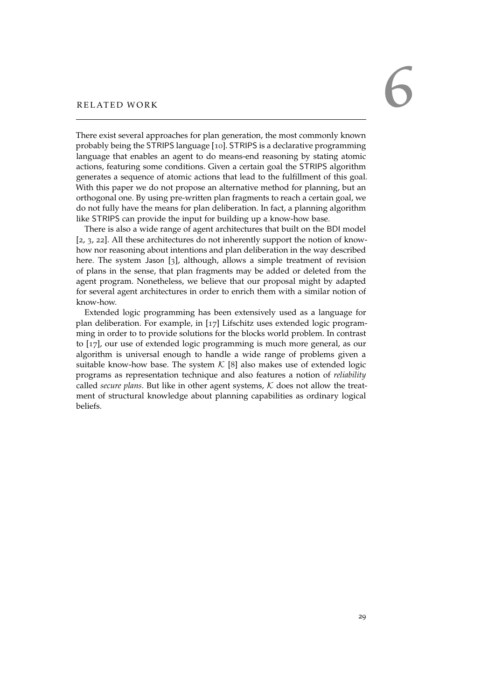# <span id="page-34-1"></span><span id="page-34-0"></span>RELATED WORK

There exist several approaches for plan generation, the most commonly known probably being the STRIPS language [[10](#page-42-8)]. STRIPS is a declarative programming language that enables an agent to do means-end reasoning by stating atomic actions, featuring some conditions. Given a certain goal the STRIPS algorithm generates a sequence of atomic actions that lead to the fulfillment of this goal. With this paper we do not propose an alternative method for planning, but an orthogonal one. By using pre-written plan fragments to reach a certain goal, we do not fully have the means for plan deliberation. In fact, a planning algorithm like STRIPS can provide the input for building up a know-how base.

There is also a wide range of agent architectures that built on the BDI model [[2](#page-42-0), [3](#page-42-1), [22](#page-43-10)]. All these architectures do not inherently support the notion of knowhow nor reasoning about intentions and plan deliberation in the way described here. The system Jason [[3](#page-42-1)], although, allows a simple treatment of revision of plans in the sense, that plan fragments may be added or deleted from the agent program. Nonetheless, we believe that our proposal might by adapted for several agent architectures in order to enrich them with a similar notion of know-how.

Extended logic programming has been extensively used as a language for plan deliberation. For example, in [[17](#page-43-2)] Lifschitz uses extended logic programming in order to to provide solutions for the blocks world problem. In contrast to [[17](#page-43-2)], our use of extended logic programming is much more general, as our algorithm is universal enough to handle a wide range of problems given a suitable know-how base. The system  $K$  [[8](#page-42-6)] also makes use of extended logic programs as representation technique and also features a notion of *reliability* called *secure plans*. But like in other agent systems,  $K$  does not allow the treatment of structural knowledge about planning capabilities as ordinary logical beliefs.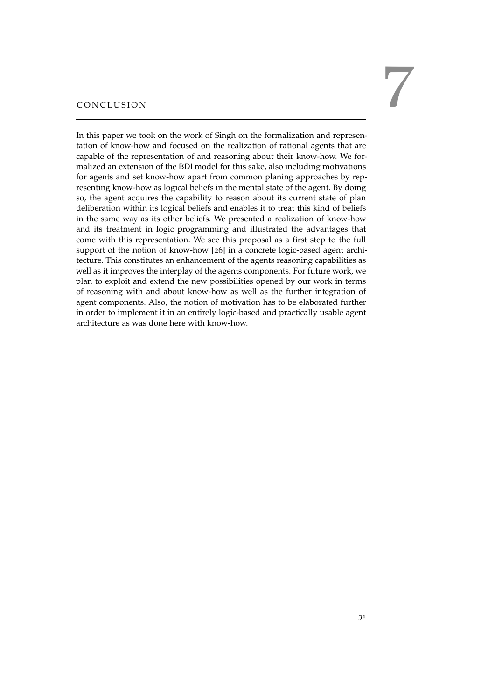<span id="page-36-1"></span><span id="page-36-0"></span>

In this paper we took on the work of Singh on the formalization and representation of know-how and focused on the realization of rational agents that are capable of the representation of and reasoning about their know-how. We formalized an extension of the BDI model for this sake, also including motivations for agents and set know-how apart from common planing approaches by representing know-how as logical beliefs in the mental state of the agent. By doing so, the agent acquires the capability to reason about its current state of plan deliberation within its logical beliefs and enables it to treat this kind of beliefs in the same way as its other beliefs. We presented a realization of know-how and its treatment in logic programming and illustrated the advantages that come with this representation. We see this proposal as a first step to the full support of the notion of know-how [[26](#page-44-3)] in a concrete logic-based agent architecture. This constitutes an enhancement of the agents reasoning capabilities as well as it improves the interplay of the agents components. For future work, we plan to exploit and extend the new possibilities opened by our work in terms of reasoning with and about know-how as well as the further integration of agent components. Also, the notion of motivation has to be elaborated further in order to implement it in an entirely logic-based and practically usable agent architecture as was done here with know-how.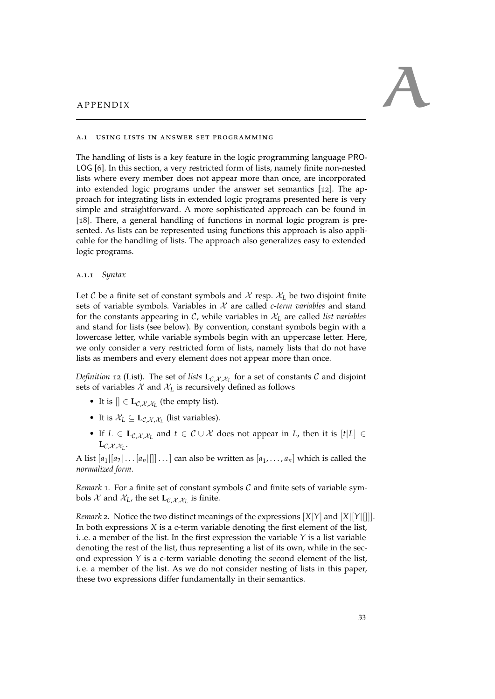<span id="page-38-3"></span><span id="page-38-0"></span>

#### <span id="page-38-1"></span>a.1 using lists in answer set programming

The handling of lists is a key feature in the logic programming language PRO-LOG [[6](#page-42-9)]. In this section, a very restricted form of lists, namely finite non-nested lists where every member does not appear more than once, are incorporated into extended logic programs under the answer set semantics [[12](#page-43-11)]. The approach for integrating lists in extended logic programs presented here is very simple and straightforward. A more sophisticated approach can be found in [[18](#page-43-9)]. There, a general handling of functions in normal logic program is presented. As lists can be represented using functions this approach is also applicable for the handling of lists. The approach also generalizes easy to extended logic programs.

#### <span id="page-38-2"></span>a.1.1 *Syntax*

Let C be a finite set of constant symbols and X resp.  $X_L$  be two disjoint finite sets of variable symbols. Variables in X are called *c-term variables* and stand for the constants appearing in  $\mathcal{C}$ , while variables in  $\mathcal{X}_L$  are called *list variables* and stand for lists (see below). By convention, constant symbols begin with a lowercase letter, while variable symbols begin with an uppercase letter. Here, we only consider a very restricted form of lists, namely lists that do not have lists as members and every element does not appear more than once.

*Definition* 12 (List). The set of *lists*  $\mathbf{L}_{\mathcal{C},\mathcal{X},\mathcal{X}_L}$  for a set of constants  $\mathcal{C}$  and disjoint sets of variables  $X$  and  $X_L$  is recursively defined as follows

- It is  $[] \in L_{\mathcal{C},\mathcal{X},\mathcal{X}_L}$  (the empty list).
- It is  $\mathcal{X}_L \subseteq \mathbf{L}_{\mathcal{C},\mathcal{X},\mathcal{X}_L}$  (list variables).
- If  $L \in L_{\mathcal{C},\mathcal{X},\mathcal{X}_L}$  and  $t \in \mathcal{C} \cup \mathcal{X}$  does not appear in  $L$ , then it is  $[t|L] \in$  $\mathbf{L}_{\mathcal{C},\mathcal{X},\mathcal{X}_L}.$

A list  $[a_1|[a_2|\dots|a_n|]]\dots]$  can also be written as  $[a_1,\dots,a_n]$  which is called the *normalized form*.

*Remark* 1*.* For a finite set of constant symbols C and finite sets of variable symbols  $\mathcal X$  and  $\mathcal X_L$ , the set  $\mathbf{L}_{\mathcal{C},\mathcal{X},\mathcal{X}_L}$  is finite.

*Remark* 2*.* Notice the two distinct meanings of the expressions [*X*|*Y*] and [*X*|[*Y*|[]]]. In both expressions *X* is a c-term variable denoting the first element of the list, i. .e. a member of the list. In the first expression the variable *Y* is a list variable denoting the rest of the list, thus representing a list of its own, while in the second expression  $Y$  is a c-term variable denoting the second element of the list, i. e. a member of the list. As we do not consider nesting of lists in this paper, these two expressions differ fundamentally in their semantics.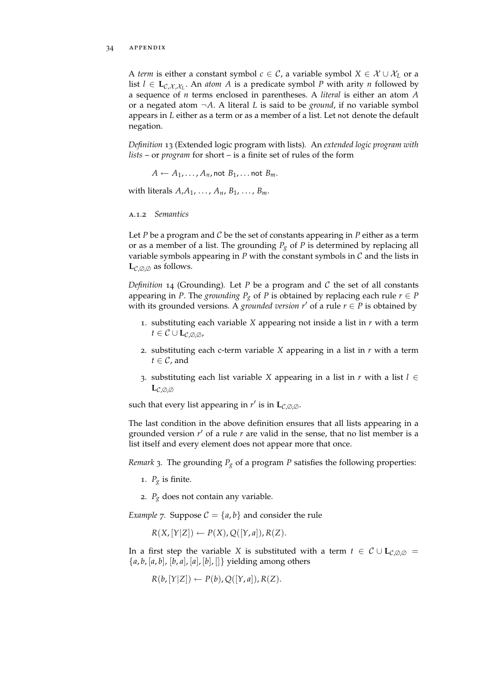#### 34 APPENDIX

A *term* is either a constant symbol  $c \in C$ , a variable symbol  $X \in \mathcal{X} \cup \mathcal{X}_L$  or a list  $l \in L_{\mathcal{C},\mathcal{X},\mathcal{X}_L}$ . An *atom A* is a predicate symbol *P* with arity *n* followed by a sequence of *n* terms enclosed in parentheses. A *literal* is either an atom *A* or a negated atom ¬*A*. A literal *L* is said to be *ground*, if no variable symbol appears in *L* either as a term or as a member of a list. Let not denote the default negation.

*Definition* 13 (Extended logic program with lists)*.* An *extended logic program with lists* – or *program* for short – is a finite set of rules of the form

 $A \leftarrow A_1, \ldots, A_n$ , not  $B_1, \ldots$  not  $B_m$ .

with literals  $A_1A_1, \ldots, A_n, B_1, \ldots, B_m$ .

#### <span id="page-39-0"></span>a.1.2 *Semantics*

Let  $P$  be a program and  $C$  be the set of constants appearing in  $P$  either as a term or as a member of a list. The grounding  $P_g$  of  $P$  is determined by replacing all variable symbols appearing in  $P$  with the constant symbols in  $C$  and the lists in  $\mathbf{L}_{\mathcal{C},\emptyset,\emptyset}$  as follows.

*Definition* 14 (Grounding)*.* Let *P* be a program and C the set of all constants appearing in *P*. The *grounding*  $P_g$  of *P* is obtained by replacing each rule  $r \in P$ with its grounded versions. A *grounded version*  $r'$  of a rule  $r \in P$  is obtained by

- 1. substituting each variable *X* appearing not inside a list in *r* with a term  $t \in \mathcal{C} \cup L_{\mathcal{C}} \otimes \otimes$ ,
- 2. substituting each c-term variable *X* appearing in a list in *r* with a term  $t \in \mathcal{C}$ , and
- 3. substituting each list variable *X* appearing in a list in *r* with a list *l* ∈ **L**C,∅,<sup>∅</sup>

such that every list appearing in  $r'$  is in  $\mathbf{L}_{\mathcal{C},\emptyset,\emptyset}$ .

The last condition in the above definition ensures that all lists appearing in a grounded version r' of a rule r are valid in the sense, that no list member is a list itself and every element does not appear more that once.

*Remark* 3*.* The grounding *P<sup>g</sup>* of a program *P* satisfies the following properties:

- 1.  $P_g$  is finite.
- 2.  $P_g$  does not contain any variable.

*Example* 7*.* Suppose  $C = \{a, b\}$  and consider the rule

 $R(X,[Y|Z]) \leftarrow P(X), Q([Y,a]), R(Z).$ 

In a first step the variable *X* is substituted with a term  $t \in C \cup L_{C,0}$  = {*a*, *b*, [*a*, *b*], [*b*, *a*], [*a*], [*b*], []} yielding among others

$$
R(b, [Y|Z]) \leftarrow P(b), Q([Y, a]), R(Z).
$$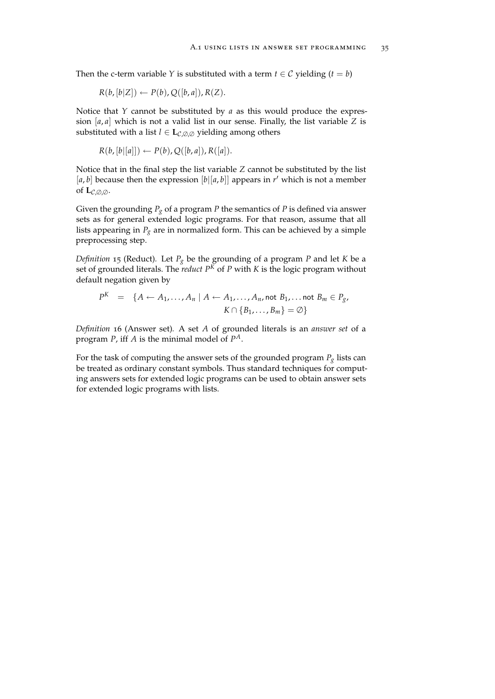Then the c-term variable *Y* is substituted with a term  $t \in C$  yielding  $(t = b)$ 

$$
R(b, [b|Z]) \leftarrow P(b), Q([b, a]), R(Z).
$$

Notice that *Y* cannot be substituted by *a* as this would produce the expression [*a*, *a*] which is not a valid list in our sense. Finally, the list variable *Z* is substituted with a list  $l \in L_{\mathcal{C},\emptyset,\emptyset}$  yielding among others

$$
R(b, [b|[a]]) \leftarrow P(b), Q([b, a]), R([a]).
$$

Notice that in the final step the list variable *Z* cannot be substituted by the list [ $a$ ,  $b$ ] because then the expression  $[b][a, b]$ ] appears in  $r'$  which is not a member of  $\mathbf{L}_{\mathcal{C},\emptyset,\emptyset}$ .

Given the grounding *P<sup>g</sup>* of a program *P* the semantics of *P* is defined via answer sets as for general extended logic programs. For that reason, assume that all lists appearing in  $P_g$  are in normalized form. This can be achieved by a simple preprocessing step.

*Definition* 15 (Reduct)*.* Let *P<sup>g</sup>* be the grounding of a program *P* and let *K* be a set of grounded literals. The *reduct*  $P<sup>K</sup>$  of *P* with *K* is the logic program without default negation given by

$$
P^K = \{ A \leftarrow A_1, \dots, A_n \mid A \leftarrow A_1, \dots, A_n, \text{not } B_1, \dots \text{not } B_m \in P_g,
$$
  

$$
K \cap \{ B_1, \dots, B_m \} = \emptyset \}
$$

*Definition* 16 (Answer set)*.* A set *A* of grounded literals is an *answer set* of a program *P*, iff *A* is the minimal model of *P A*.

For the task of computing the answer sets of the grounded program  $P_g$  lists can be treated as ordinary constant symbols. Thus standard techniques for computing answers sets for extended logic programs can be used to obtain answer sets for extended logic programs with lists.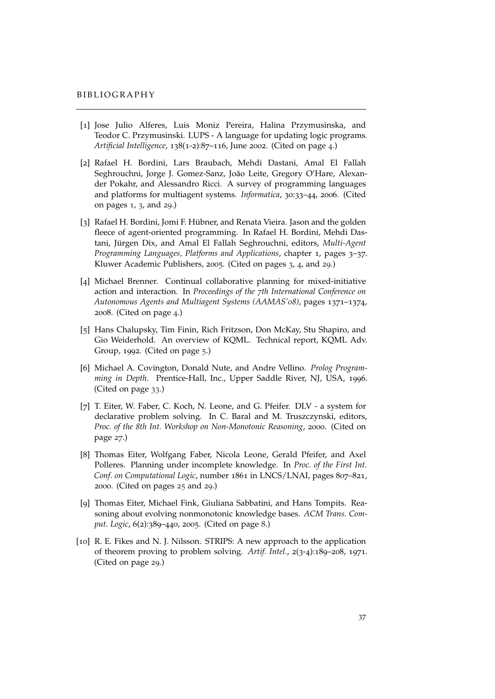- <span id="page-42-3"></span>[1] Jose Julio Alferes, Luis Moniz Pereira, Halina Przymusinska, and Teodor C. Przymusinski. LUPS - A language for updating logic programs. *Artificial Intelligence*, 138(1-2):87–116, June 2002. (Cited on page [4](#page-9-0).)
- <span id="page-42-0"></span>[2] Rafael H. Bordini, Lars Braubach, Mehdi Dastani, Amal El Fallah Seghrouchni, Jorge J. Gomez-Sanz, João Leite, Gregory O'Hare, Alexander Pokahr, and Alessandro Ricci. A survey of programming languages and platforms for multiagent systems. *Informatica*, 30:33–44, 2006. (Cited on pages [1](#page-6-1), [3](#page-8-3), and [29](#page-34-1).)
- <span id="page-42-1"></span>[3] Rafael H. Bordini, Jomi F. Hübner, and Renata Vieira. Jason and the golden fleece of agent-oriented programming. In Rafael H. Bordini, Mehdi Dastani, Jürgen Dix, and Amal El Fallah Seghrouchni, editors, *Multi-Agent Programming Languages, Platforms and Applications*, chapter 1, pages 3–37. Kluwer Academic Publishers, 2005. (Cited on pages [3](#page-8-3), [4](#page-9-0), and [29](#page-34-1).)
- <span id="page-42-2"></span>[4] Michael Brenner. Continual collaborative planning for mixed-initiative action and interaction. In *Proceedings of the 7th International Conference on Autonomous Agents and Multiagent Systems (AAMAS'08)*, pages 1371–1374, 2008. (Cited on page [4](#page-9-0).)
- <span id="page-42-4"></span>[5] Hans Chalupsky, Tim Finin, Rich Fritzson, Don McKay, Stu Shapiro, and Gio Weiderhold. An overview of KQML. Technical report, KQML Adv. Group, 1992. (Cited on page [5](#page-10-2).)
- <span id="page-42-9"></span>[6] Michael A. Covington, Donald Nute, and Andre Vellino. *Prolog Programming in Depth*. Prentice-Hall, Inc., Upper Saddle River, NJ, USA, 1996. (Cited on page [33](#page-38-3).)
- <span id="page-42-7"></span>[7] T. Eiter, W. Faber, C. Koch, N. Leone, and G. Pfeifer. DLV - a system for declarative problem solving. In C. Baral and M. Truszczynski, editors, *Proc. of the 8th Int. Workshop on Non-Monotonic Reasoning*, 2000. (Cited on page [27](#page-32-2).)
- <span id="page-42-6"></span>[8] Thomas Eiter, Wolfgang Faber, Nicola Leone, Gerald Pfeifer, and Axel Polleres. Planning under incomplete knowledge. In *Proc. of the First Int. Conf. on Computational Logic*, number 1861 in LNCS/LNAI, pages 807–821, 2000. (Cited on pages [25](#page-30-2) and [29](#page-34-1).)
- <span id="page-42-5"></span>[9] Thomas Eiter, Michael Fink, Giuliana Sabbatini, and Hans Tompits. Reasoning about evolving nonmonotonic knowledge bases. *ACM Trans. Comput. Logic*, 6(2):389–440, 2005. (Cited on page [8](#page-13-0).)
- <span id="page-42-8"></span>[10] R. E. Fikes and N. J. Nilsson. STRIPS: A new approach to the application of theorem proving to problem solving. *Artif. Intel.*, 2(3-4):189–208, 1971. (Cited on page [29](#page-34-1).)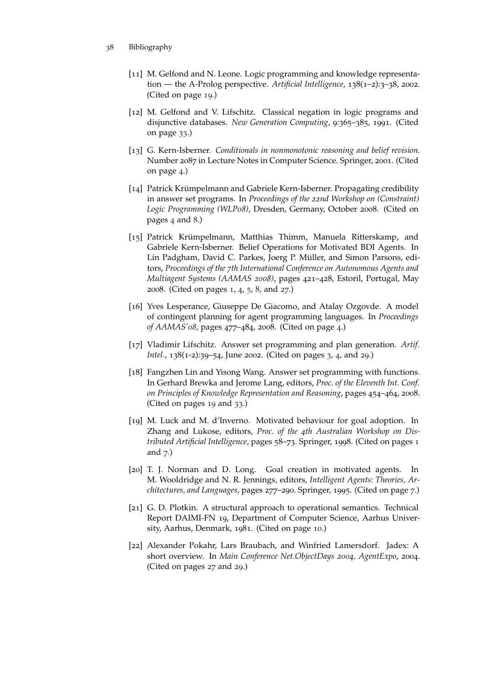- <span id="page-43-11"></span><span id="page-43-10"></span><span id="page-43-9"></span><span id="page-43-8"></span><span id="page-43-7"></span><span id="page-43-6"></span><span id="page-43-5"></span><span id="page-43-4"></span><span id="page-43-3"></span><span id="page-43-2"></span><span id="page-43-1"></span><span id="page-43-0"></span>38 Bibliography
	- [11] M. Gelfond and N. Leone. Logic programming and knowledge representation — the A-Prolog perspective. Artificial Intelligence, 138(1-2):3-38, 2002. (Cited on page [19](#page-24-2).)
	- [12] M. Gelfond and V. Lifschitz. Classical negation in logic programs and disjunctive databases. *New Generation Computing*, 9:365–385, 1991. (Cited on page [33](#page-38-3).)
	- [13] G. Kern-Isberner. *Conditionals in nonmonotonic reasoning and belief revision*. Number 2087 in Lecture Notes in Computer Science. Springer, 2001. (Cited on page [4](#page-9-0).)
	- [14] Patrick Krümpelmann and Gabriele Kern-Isberner. Propagating credibility in answer set programs. In *Proceedings of the 22nd Workshop on (Constraint) Logic Programming (WLP08)*, Dresden, Germany, October 2008. (Cited on pages [4](#page-9-0) and [8](#page-13-0).)
	- [15] Patrick Krümpelmann, Matthias Thimm, Manuela Ritterskamp, and Gabriele Kern-Isberner. Belief Operations for Motivated BDI Agents. In Lin Padgham, David C. Parkes, Joerg P. Müller, and Simon Parsons, editors, *Proceedings of the 7th International Conference on Autonomous Agents and Multiagent Systems (AAMAS 2008)*, pages 421–428, Estoril, Portugal, May 2008. (Cited on pages [1](#page-6-1), [4](#page-9-0), [5](#page-10-2), [8](#page-13-0), and [27](#page-32-2).)
	- [16] Yves Lesperance, Giuseppe De Giacomo, and Atalay Ozgovde. A model of contingent planning for agent programming languages. In *Proceedings of AAMAS'08*, pages 477–484, 2008. (Cited on page [4](#page-9-0).)
	- [17] Vladimir Lifschitz. Answer set programming and plan generation. *Artif. Intel.*, 138(1-2):39–54, June 2002. (Cited on pages [3](#page-8-3), [4](#page-9-0), and [29](#page-34-1).)
	- [18] Fangzhen Lin and Yisong Wang. Answer set programming with functions. In Gerhard Brewka and Jerome Lang, editors, *Proc. of the Eleventh Int. Conf. on Principles of Knowledge Representation and Reasoning*, pages 454–464, 2008. (Cited on pages [19](#page-24-2) and [33](#page-38-3).)
	- [19] M. Luck and M. d'Inverno. Motivated behaviour for goal adoption. In Zhang and Lukose, editors, *Proc. of the 4th Australian Workshop on Distributed Artificial Intelligence*, pages 58–73. Springer, 1998. (Cited on pages [1](#page-6-1) and [7](#page-12-2).)
	- [20] T. J. Norman and D. Long. Goal creation in motivated agents. In M. Wooldridge and N. R. Jennings, editors, *Intelligent Agents: Theories, Architectures, and Languages*, pages 277–290. Springer, 1995. (Cited on page [7](#page-12-2).)
	- [21] G. D. Plotkin. A structural approach to operational semantics. Technical Report DAIMI-FN 19, Department of Computer Science, Aarhus University, Aarhus, Denmark, 1981. (Cited on page [10](#page-15-1).)
	- [22] Alexander Pokahr, Lars Braubach, and Winfried Lamersdorf. Jadex: A short overview. In *Main Conference Net.ObjectDays 2004, AgentExpo*, 2004. (Cited on pages [27](#page-32-2) and [29](#page-34-1).)